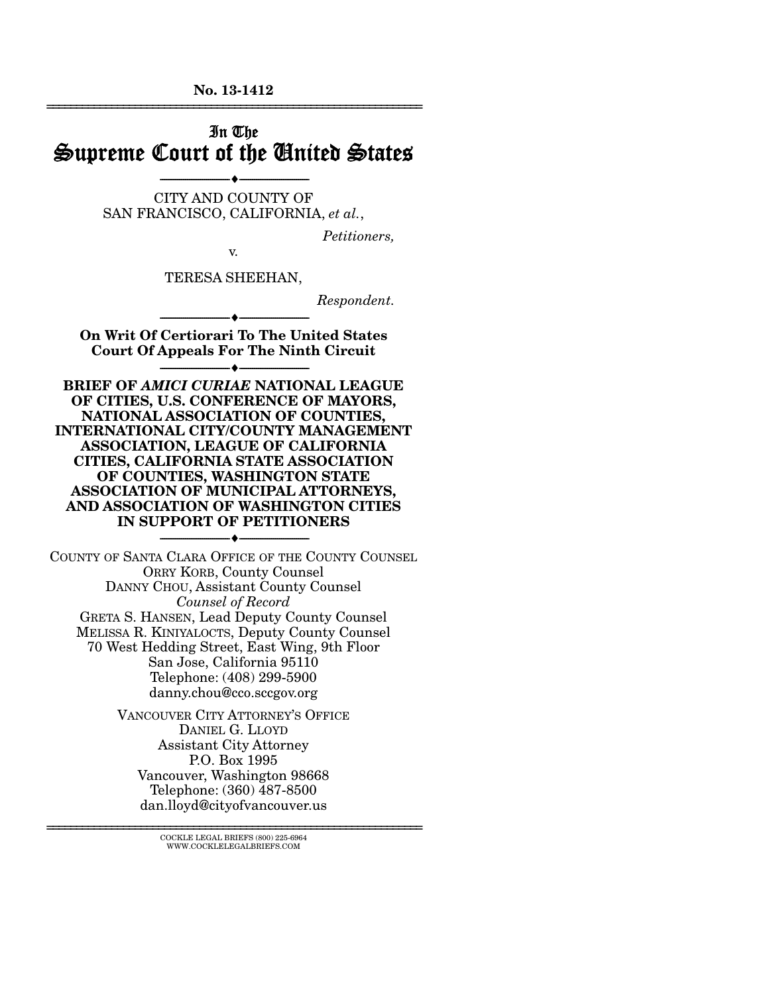**No. 13-1412**  ================================================================

# In The Supreme Court of the United States

CITY AND COUNTY OF SAN FRANCISCO, CALIFORNIA, *et al.*,

--------------------------------- ---------------------------------

*Petitioners,* 

v.

TERESA SHEEHAN,

*Respondent.* 

**On Writ Of Certiorari To The United States Court Of Appeals For The Ninth Circuit**  --------------------------------- ---------------------------------

--------------------------------- ---------------------------------

**BRIEF OF** *AMICI CURIAE* **NATIONAL LEAGUE OF CITIES, U.S. CONFERENCE OF MAYORS, NATIONAL ASSOCIATION OF COUNTIES, INTERNATIONAL CITY/COUNTY MANAGEMENT ASSOCIATION, LEAGUE OF CALIFORNIA CITIES, CALIFORNIA STATE ASSOCIATION OF COUNTIES, WASHINGTON STATE ASSOCIATION OF MUNICIPAL ATTORNEYS, AND ASSOCIATION OF WASHINGTON CITIES IN SUPPORT OF PETITIONERS** 

COUNTY OF SANTA CLARA OFFICE OF THE COUNTY COUNSEL ORRY KORB, County Counsel DANNY CHOU, Assistant County Counsel *Counsel of Record* GRETA S. HANSEN, Lead Deputy County Counsel MELISSA R. KINIYALOCTS, Deputy County Counsel 70 West Hedding Street, East Wing, 9th Floor San Jose, California 95110 Telephone: (408) 299-5900 danny.chou@cco.sccgov.org

--------------------------------- ---------------------------------

VANCOUVER CITY ATTORNEY'S OFFICE DANIEL G. LLOYD Assistant City Attorney P.O. Box 1995 Vancouver, Washington 98668 Telephone: (360) 487-8500 dan.lloyd@cityofvancouver.us

================================================================ COCKLE LEGAL BRIEFS (800) 225-6964 WWW.COCKLELEGALBRIEFS.COM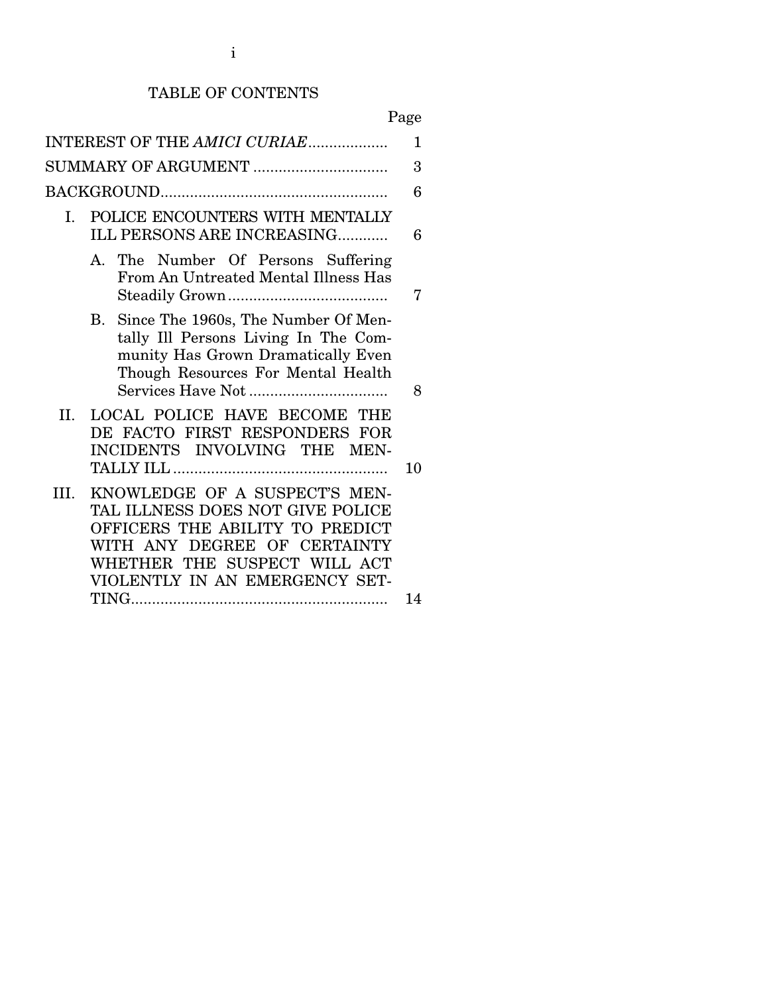# TABLE OF CONTENTS

| INTEREST OF THE AMICI CURIAE                                                                                                                                                                                  | 1  |
|---------------------------------------------------------------------------------------------------------------------------------------------------------------------------------------------------------------|----|
| SUMMARY OF ARGUMENT                                                                                                                                                                                           | 3  |
|                                                                                                                                                                                                               | 6  |
| POLICE ENCOUNTERS WITH MENTALLY<br>$\mathbf{I}$<br>ILL PERSONS ARE INCREASING                                                                                                                                 | 6  |
| A. The Number Of Persons Suffering<br>From An Untreated Mental Illness Has                                                                                                                                    | 7  |
| B. Since The 1960s, The Number Of Men-<br>tally Ill Persons Living In The Com-<br>munity Has Grown Dramatically Even<br>Though Resources For Mental Health                                                    | 8  |
| LOCAL POLICE HAVE BECOME THE<br>II.<br>DE FACTO FIRST RESPONDERS FOR<br>INCIDENTS INVOLVING THE MEN-                                                                                                          | 10 |
| KNOWLEDGE OF A SUSPECT'S MEN-<br>HL.<br>TAL ILLNESS DOES NOT GIVE POLICE<br>OFFICERS THE ABILITY TO PREDICT<br>WITH ANY DEGREE OF CERTAINTY<br>WHETHER THE SUSPECT WILL ACT<br>VIOLENTLY IN AN EMERGENCY SET- | 14 |
|                                                                                                                                                                                                               |    |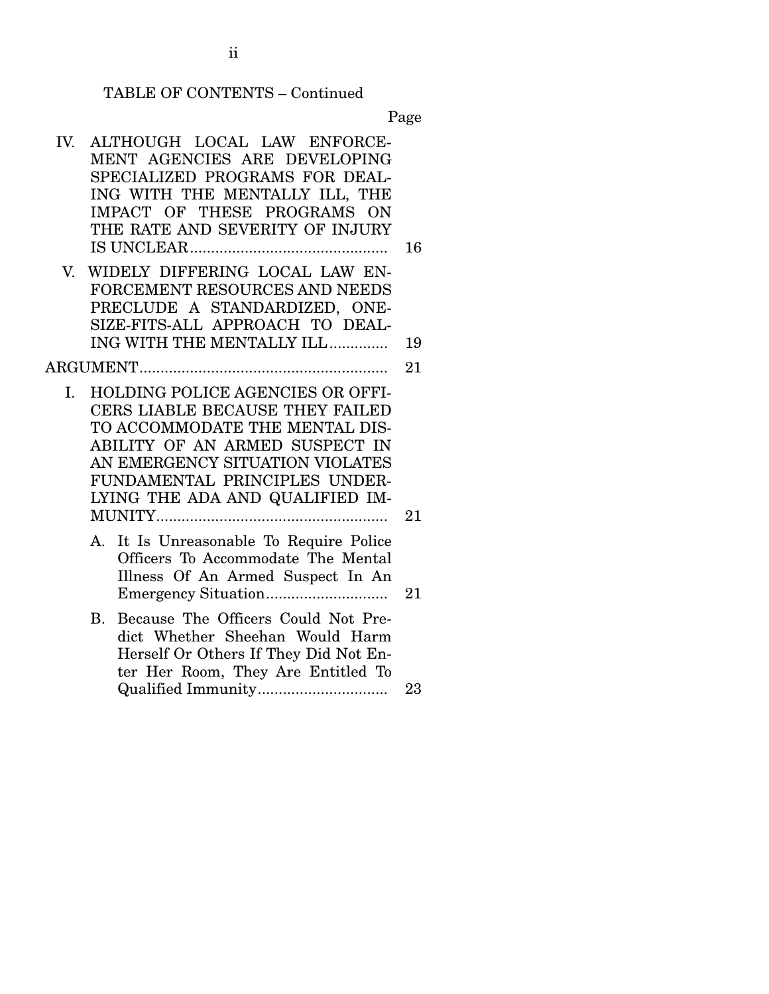# TABLE OF CONTENTS – Continued

| IV. |           | ALTHOUGH LOCAL LAW ENFORCE-<br>MENT AGENCIES ARE DEVELOPING<br>SPECIALIZED PROGRAMS FOR DEAL-<br>ING WITH THE MENTALLY ILL, THE<br>IMPACT OF THESE PROGRAMS ON<br>THE RATE AND SEVERITY OF INJURY                                                     | 16 |
|-----|-----------|-------------------------------------------------------------------------------------------------------------------------------------------------------------------------------------------------------------------------------------------------------|----|
| V.  |           | WIDELY DIFFERING LOCAL LAW EN-<br>FORCEMENT RESOURCES AND NEEDS<br>PRECLUDE A STANDARDIZED, ONE-<br>SIZE-FITS-ALL APPROACH TO DEAL-<br>ING WITH THE MENTALLY ILL                                                                                      | 19 |
|     |           |                                                                                                                                                                                                                                                       | 21 |
| I.  |           | <b>HOLDING POLICE AGENCIES OR OFFI-</b><br>CERS LIABLE BECAUSE THEY FAILED<br>TO ACCOMMODATE THE MENTAL DIS-<br>ABILITY OF AN ARMED SUSPECT IN<br>AN EMERGENCY SITUATION VIOLATES<br>FUNDAMENTAL PRINCIPLES UNDER-<br>LYING THE ADA AND QUALIFIED IM- | 21 |
|     | А.        | It Is Unreasonable To Require Police<br>Officers To Accommodate The Mental<br>Illness Of An Armed Suspect In An                                                                                                                                       | 21 |
|     | <b>B.</b> | Because The Officers Could Not Pre-<br>dict Whether Sheehan Would Harm<br>Herself Or Others If They Did Not En-<br>ter Her Room, They Are Entitled To<br>Qualified Immunity                                                                           | 23 |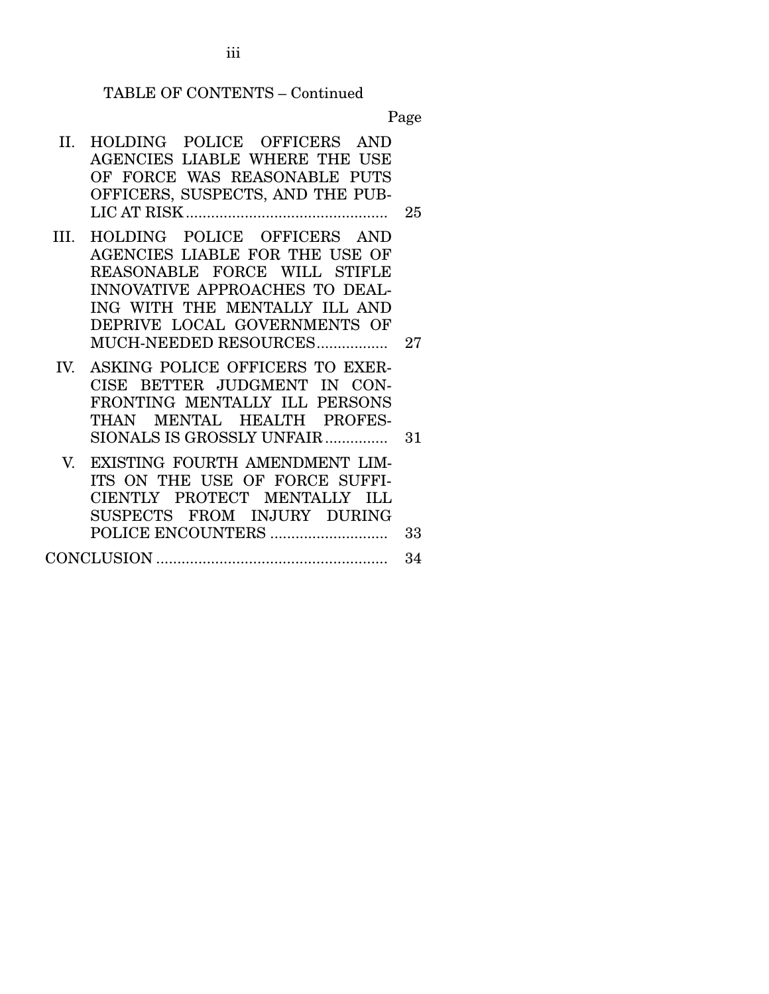#### TABLE OF CONTENTS – Continued

Page

- II. HOLDING POLICE OFFICERS AND AGENCIES LIABLE WHERE THE USE OF FORCE WAS REASONABLE PUTS OFFICERS, SUSPECTS, AND THE PUB-LIC AT RISK ................................................ 25
- III. HOLDING POLICE OFFICERS AND AGENCIES LIABLE FOR THE USE OF REASONABLE FORCE WILL STIFLE INNOVATIVE APPROACHES TO DEAL-ING WITH THE MENTALLY ILL AND DEPRIVE LOCAL GOVERNMENTS OF MUCH-NEEDED RESOURCES ................. 27
- IV. ASKING POLICE OFFICERS TO EXER-CISE BETTER JUDGMENT IN CON-FRONTING MENTALLY ILL PERSONS THAN MENTAL HEALTH PROFES-SIONALS IS GROSSLY UNFAIR ............... 31
- V. EXISTING FOURTH AMENDMENT LIM-ITS ON THE USE OF FORCE SUFFI-CIENTLY PROTECT MENTALLY ILL SUSPECTS FROM INJURY DURING POLICE ENCOUNTERS ............................ 33

## CONCLUSION ....................................................... 34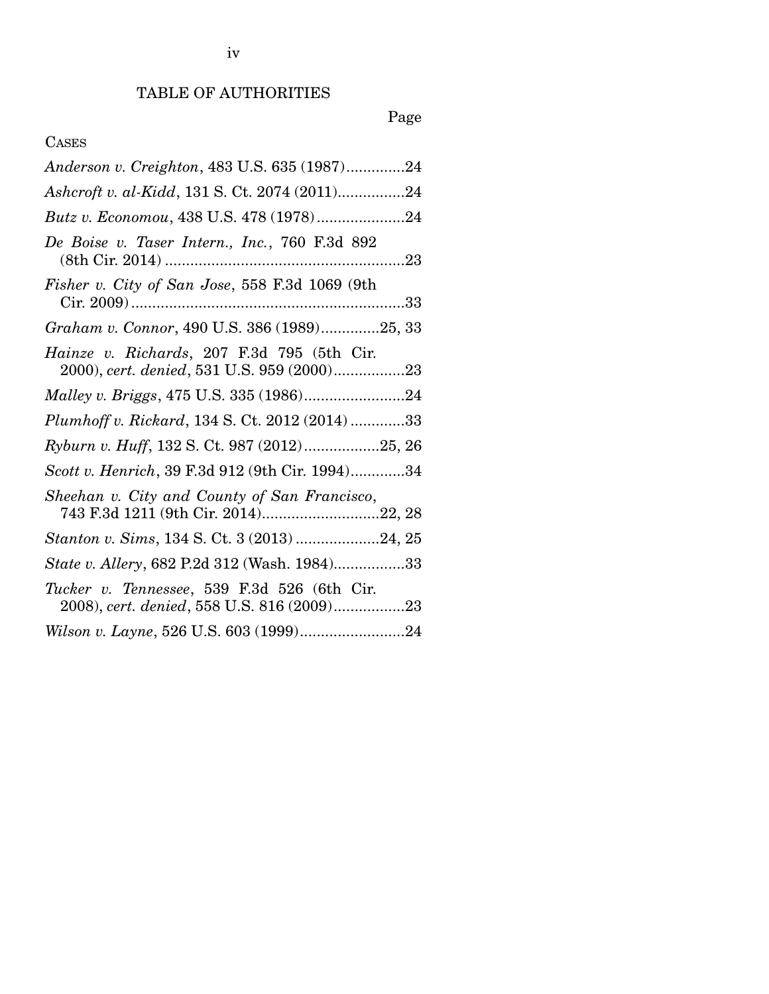# Page

## CASES

| Anderson v. Creighton, 483 U.S. 635 (1987)24                                              |
|-------------------------------------------------------------------------------------------|
| Ashcroft v. al-Kidd, 131 S. Ct. 2074 (2011)24                                             |
| Butz v. Economou, 438 U.S. 478 (1978)24                                                   |
| De Boise v. Taser Intern., Inc., 760 F.3d 892                                             |
| Fisher v. City of San Jose, 558 F.3d 1069 (9th<br>Cir. 2009)                              |
| Graham v. Connor, 490 U.S. 386 (1989)25, 33                                               |
| Hainze v. Richards, 207 F.3d 795 (5th Cir.<br>2000), cert. denied, 531 U.S. 959 (2000)23  |
| Malley v. Briggs, 475 U.S. 335 (1986)24                                                   |
| Plumhoff v. Rickard, 134 S. Ct. 2012 (2014) 33                                            |
| Ryburn v. Huff, 132 S. Ct. 987 (2012)25, 26                                               |
| Scott v. Henrich, 39 F.3d 912 (9th Cir. 1994)34                                           |
| Sheehan v. City and County of San Francisco,<br>743 F.3d 1211 (9th Cir. 2014)22, 28       |
| Stanton v. Sims, 134 S. Ct. 3 (2013) 24, 25                                               |
| State v. Allery, 682 P.2d 312 (Wash. 1984)33                                              |
| Tucker v. Tennessee, 539 F.3d 526 (6th Cir.<br>2008), cert. denied, 558 U.S. 816 (2009)23 |
| Wilson v. Layne, 526 U.S. 603 (1999)24                                                    |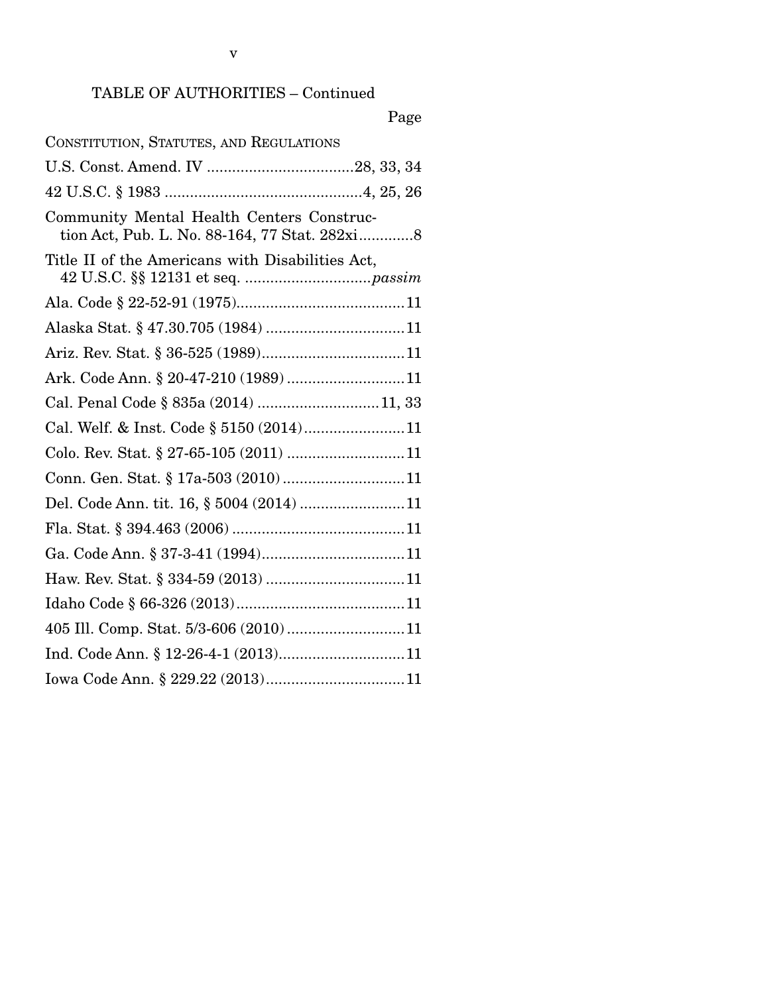| Page                                                                                        |
|---------------------------------------------------------------------------------------------|
| CONSTITUTION, STATUTES, AND REGULATIONS                                                     |
|                                                                                             |
|                                                                                             |
| Community Mental Health Centers Construc-<br>tion Act, Pub. L. No. 88-164, 77 Stat. 282xi 8 |
| Title II of the Americans with Disabilities Act,                                            |
|                                                                                             |
|                                                                                             |
|                                                                                             |
| Ark. Code Ann. § 20-47-210 (1989) 11                                                        |
| Cal. Penal Code § 835a (2014)  11, 33                                                       |
| Cal. Welf. & Inst. Code § 5150 (2014)11                                                     |
|                                                                                             |
| Conn. Gen. Stat. § 17a-503 (2010)11                                                         |
| Del. Code Ann. tit. 16, § 5004 (2014) 11                                                    |
|                                                                                             |
|                                                                                             |
|                                                                                             |
|                                                                                             |
| 405 Ill. Comp. Stat. 5/3-606 (2010)11                                                       |
| Ind. Code Ann. § 12-26-4-1 (2013)11                                                         |
| Iowa Code Ann. § 229.22 (2013)11                                                            |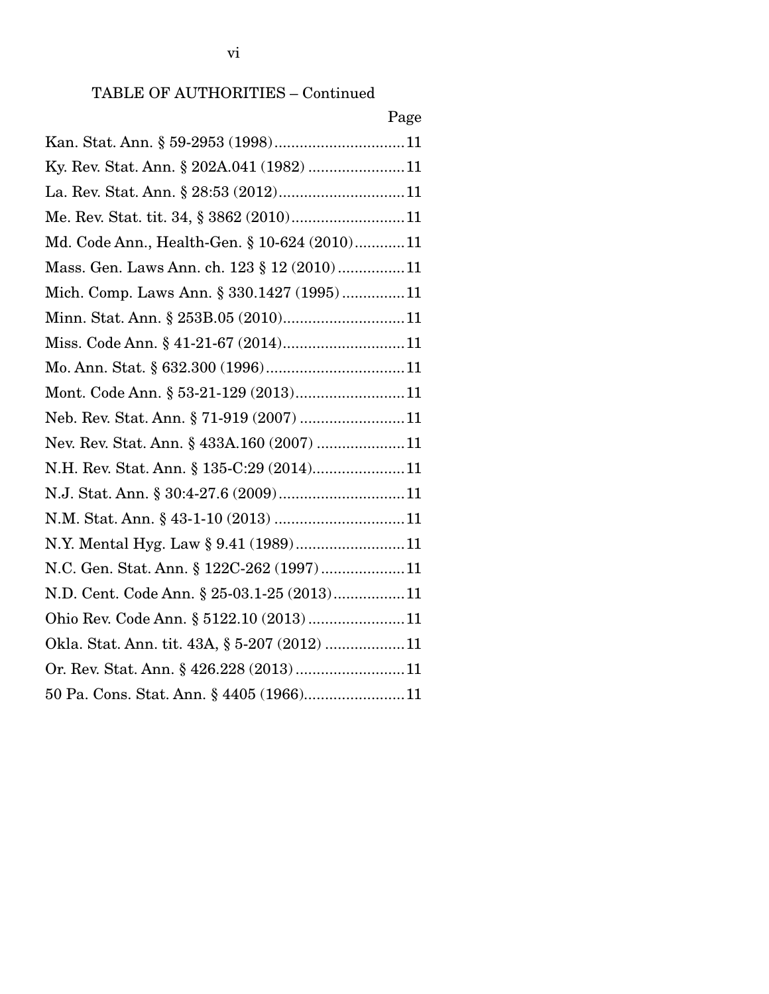| Kan. Stat. Ann. § 59-2953 (1998)11           |
|----------------------------------------------|
| Ky. Rev. Stat. Ann. § 202A.041 $(1982)\,11$  |
| La. Rev. Stat. Ann. § 28:53 (2012)11         |
| Me. Rev. Stat. tit. 34, § 3862 (2010)11      |
| Md. Code Ann., Health-Gen. § 10-624 (2010)11 |
| Mass. Gen. Laws Ann. ch. 123 § 12 (2010)11   |
| Mich. Comp. Laws Ann. § 330.1427 (1995)11    |
|                                              |
| Miss. Code Ann. § 41-21-67 (2014)11          |
|                                              |
| Mont. Code Ann. § 53-21-129 (2013)11         |
| Neb. Rev. Stat. Ann. § 71-919 (2007) 11      |
| Nev. Rev. Stat. Ann. § 433A.160 (2007) 11    |
| N.H. Rev. Stat. Ann. § 135-C:29 (2014)11     |
| N.J. Stat. Ann. § 30:4-27.6 (2009)11         |
| N.M. Stat. Ann. § 43-1-10 (2013) 11          |
| N.Y. Mental Hyg. Law $\S~9.41$ $(1989)$ 11   |
| N.C. Gen. Stat. Ann. § 122C-262 (1997)11     |
| N.D. Cent. Code Ann. § 25-03.1-25 (2013)11   |
| Ohio Rev. Code Ann. § 5122.10 (2013) 11      |
| Okla. Stat. Ann. tit. 43A, § 5-207 (2012) 11 |
| Or. Rev. Stat. Ann. § 426.228 (2013)11       |
| 50 Pa. Cons. Stat. Ann. § 4405 (1966)11      |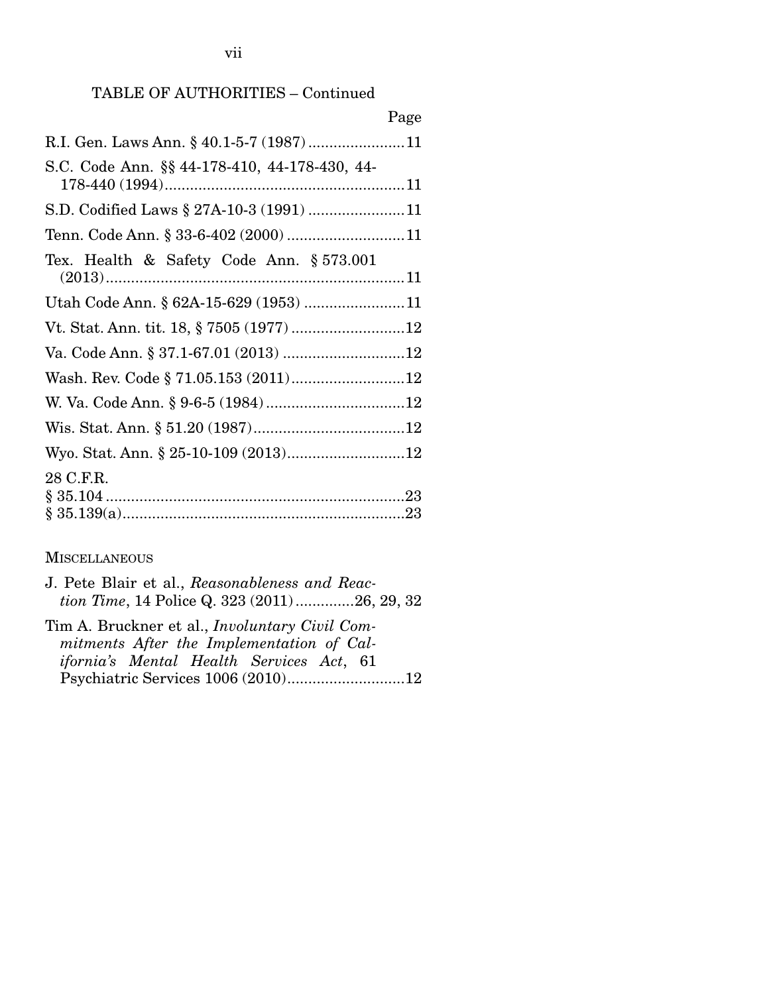| Page                                          |
|-----------------------------------------------|
| R.I. Gen. Laws Ann. § 40.1-5-7 (1987)11       |
| S.C. Code Ann. §§ 44-178-410, 44-178-430, 44- |
|                                               |
| Tenn. Code Ann. § 33-6-402 (2000) 11          |
| Tex. Health & Safety Code Ann. § 573.001      |
| Utah Code Ann. § 62A-15-629 (1953) 11         |
|                                               |
|                                               |
|                                               |
|                                               |
|                                               |
| Wyo. Stat. Ann. § 25-10-109 (2013)12          |
| 28 C.F.R.                                     |
|                                               |

#### MISCELLANEOUS

| J. Pete Blair et al., Reasonableness and Reac-<br>tion Time, 14 Police Q. 323 (2011)26, 29, 32     |  |
|----------------------------------------------------------------------------------------------------|--|
| Tim A. Bruckner et al., <i>Involuntary Civil Com-</i><br>mitments After the Implementation of Cal- |  |

|                                                 |  | <i>howmenous</i> <b><i>ighthat</i></b> <i>inc.</i> <b><i>imprementation</i></b> of $\theta$ <b><i>edge</i></b> |  |  |
|-------------------------------------------------|--|----------------------------------------------------------------------------------------------------------------|--|--|
| <i>ifornia's Mental Health Services Act, 61</i> |  |                                                                                                                |  |  |
|                                                 |  |                                                                                                                |  |  |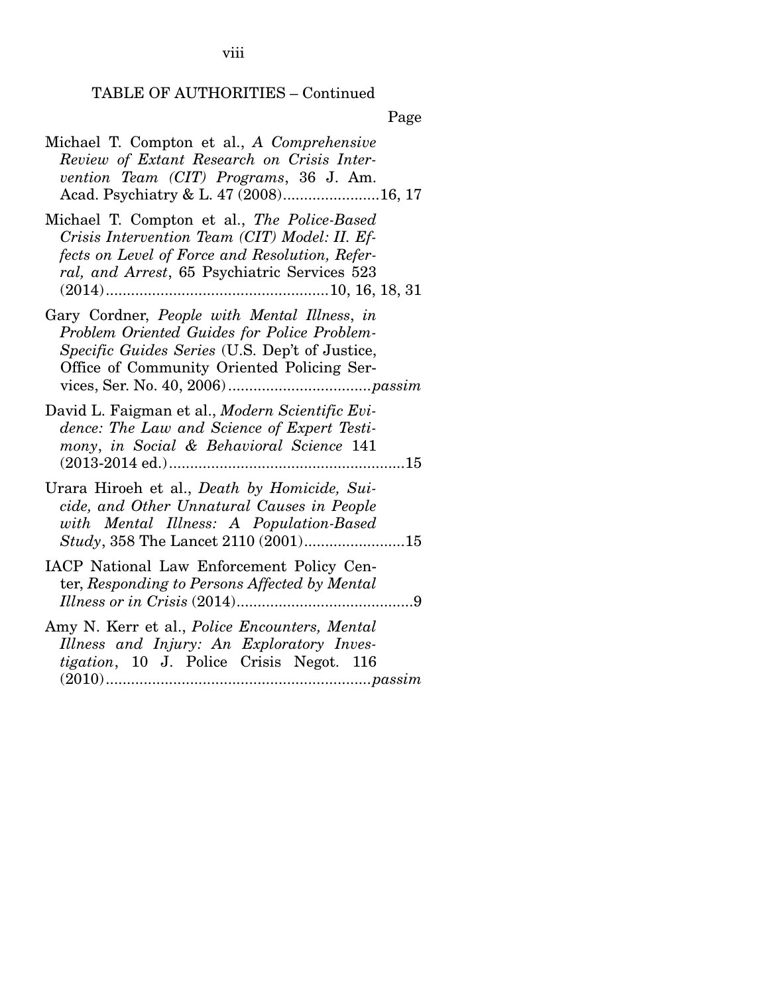viii

# TABLE OF AUTHORITIES – Continued

| Michael T. Compton et al., A Comprehensive<br>Review of Extant Research on Crisis Inter-<br>vention Team (CIT) Programs, 36 J. Am.<br>Acad. Psychiatry & L. 47 (2008)16, 17                        |  |
|----------------------------------------------------------------------------------------------------------------------------------------------------------------------------------------------------|--|
| Michael T. Compton et al., The Police-Based<br>Crisis Intervention Team (CIT) Model: II. Ef-<br>fects on Level of Force and Resolution, Refer-<br>ral, and Arrest, 65 Psychiatric Services 523     |  |
| Gary Cordner, People with Mental Illness, in<br>Problem Oriented Guides for Police Problem-<br><i>Specific Guides Series</i> (U.S. Dep't of Justice,<br>Office of Community Oriented Policing Ser- |  |
| David L. Faigman et al., <i>Modern Scientific Evi</i> -<br>dence: The Law and Science of Expert Testi-<br>mony, in Social & Behavioral Science 141<br>$(2013-2014 \text{ ed.})$                    |  |
| Urara Hiroeh et al., Death by Homicide, Sui-<br>cide, and Other Unnatural Causes in People<br>with Mental Illness: A Population-Based                                                              |  |
| IACP National Law Enforcement Policy Cen-<br>ter, Responding to Persons Affected by Mental                                                                                                         |  |
| Amy N. Kerr et al., <i>Police Encounters</i> , <i>Mental</i><br>Illness and Injury: An Exploratory Inves-<br>tigation, 10 J. Police Crisis Negot. 116                                              |  |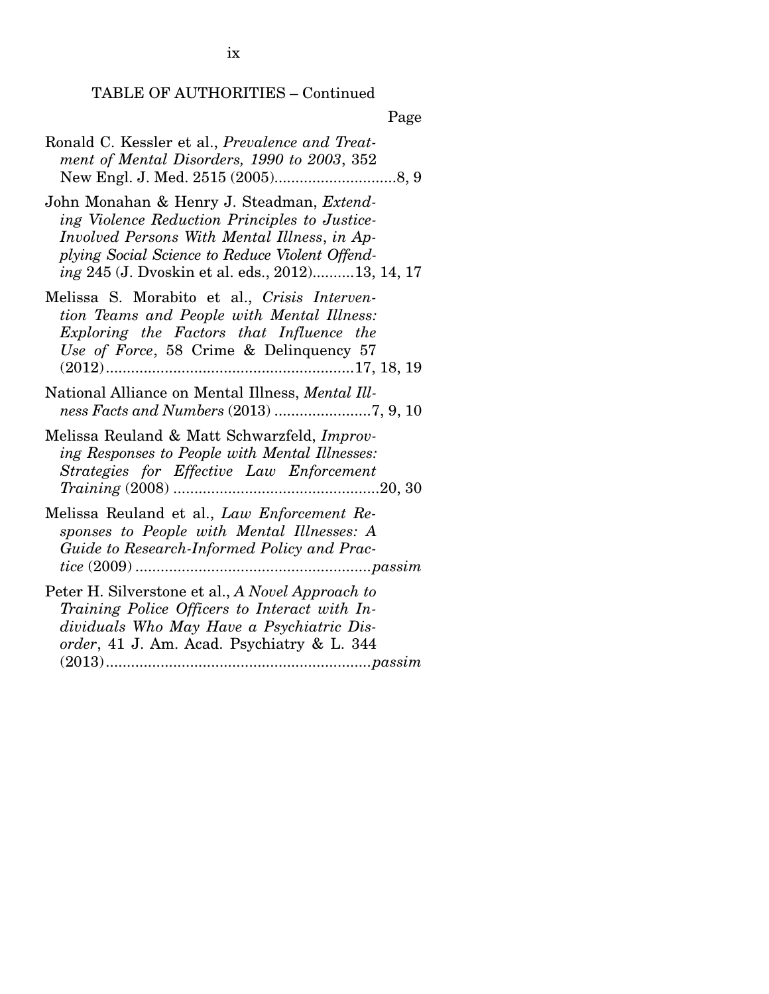| Ronald C. Kessler et al., Prevalence and Treat- |  |
|-------------------------------------------------|--|
| ment of Mental Disorders, 1990 to 2003, 352     |  |
|                                                 |  |

- John Monahan & Henry J. Steadman, *Extending Violence Reduction Principles to Justice-Involved Persons With Mental Illness*, *in Applying Social Science to Reduce Violent Offending* 245 (J. Dvoskin et al. eds., 2012).......... 13, 14, 17
- Melissa S. Morabito et al., *Crisis Intervention Teams and People with Mental Illness: Exploring the Factors that Influence the Use of Force*, 58 Crime & Delinquency 57 (2012) ........................................................... 17, 18, 19
- National Alliance on Mental Illness, *Mental Illness Facts and Numbers* (2013) ....................... 7, 9, 10
- Melissa Reuland & Matt Schwarzfeld, *Improving Responses to People with Mental Illnesses: Strategies for Effective Law Enforcement Training* (2008) ................................................. 20, 30
- Melissa Reuland et al., *Law Enforcement Responses to People with Mental Illnesses: A Guide to Research-Informed Policy and Practice* (2009) ........................................................ *passim*
- Peter H. Silverstone et al., *A Novel Approach to Training Police Officers to Interact with Individuals Who May Have a Psychiatric Disorder*, 41 J. Am. Acad. Psychiatry & L. 344 (2013) ............................................................... *passim*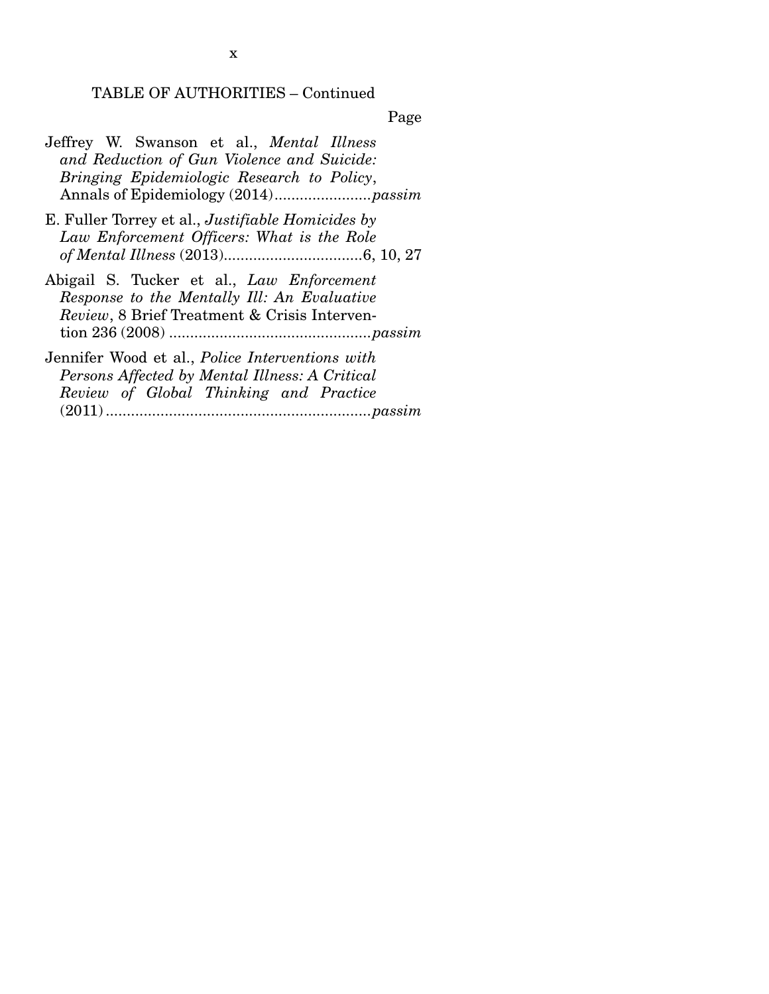| Jeffrey W. Swanson et al., <i>Mental Illness</i><br>and Reduction of Gun Violence and Suicide:<br>Bringing Epidemiologic Research to Policy,       |
|----------------------------------------------------------------------------------------------------------------------------------------------------|
| E. Fuller Torrey et al., <i>Justifiable Homicides by</i><br>Law Enforcement Officers: What is the Role                                             |
| Abigail S. Tucker et al., Law Enforcement<br>Response to the Mentally Ill: An Evaluative<br><i>Review</i> , 8 Brief Treatment & Crisis Interven-   |
| Jennifer Wood et al., <i>Police Interventions with</i><br>Persons Affected by Mental Illness: A Critical<br>Review of Global Thinking and Practice |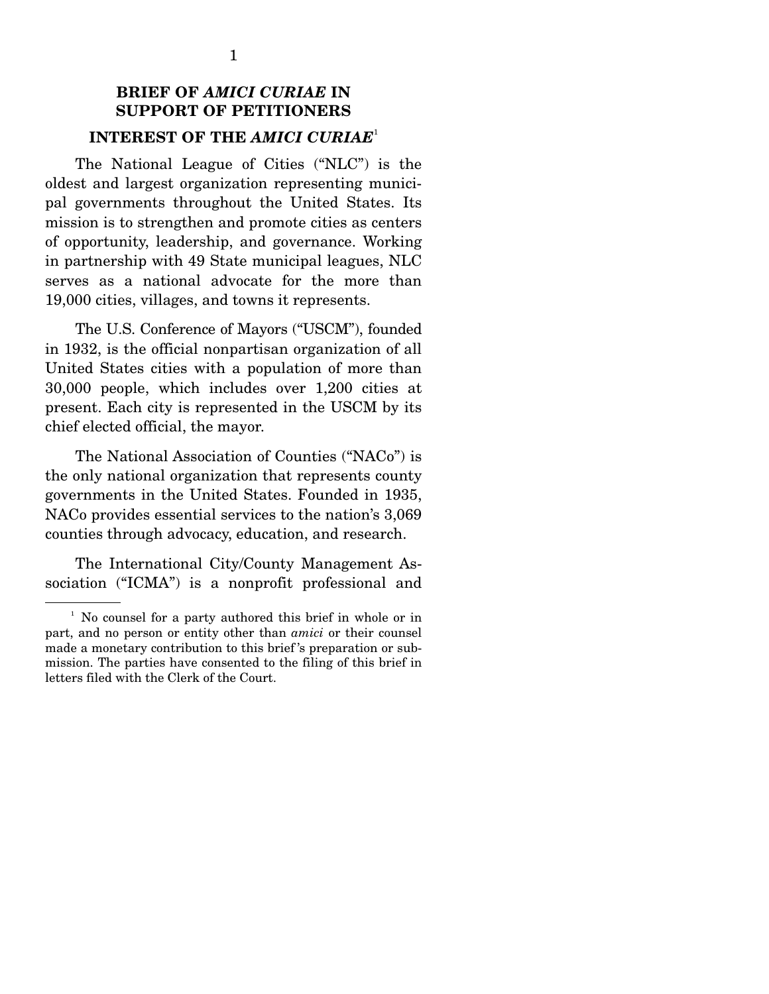# **BRIEF OF** *AMICI CURIAE* **IN SUPPORT OF PETITIONERS INTEREST OF THE** *AMICI CURIAE*<sup>1</sup>

The National League of Cities ("NLC") is the oldest and largest organization representing municipal governments throughout the United States. Its mission is to strengthen and promote cities as centers of opportunity, leadership, and governance. Working in partnership with 49 State municipal leagues, NLC serves as a national advocate for the more than 19,000 cities, villages, and towns it represents.

 The U.S. Conference of Mayors ("USCM"), founded in 1932, is the official nonpartisan organization of all United States cities with a population of more than 30,000 people, which includes over 1,200 cities at present. Each city is represented in the USCM by its chief elected official, the mayor.

 The National Association of Counties ("NACo") is the only national organization that represents county governments in the United States. Founded in 1935, NACo provides essential services to the nation's 3,069 counties through advocacy, education, and research.

 The International City/County Management Association ("ICMA") is a nonprofit professional and

<sup>&</sup>lt;sup>1</sup> No counsel for a party authored this brief in whole or in part, and no person or entity other than *amici* or their counsel made a monetary contribution to this brief 's preparation or submission. The parties have consented to the filing of this brief in letters filed with the Clerk of the Court.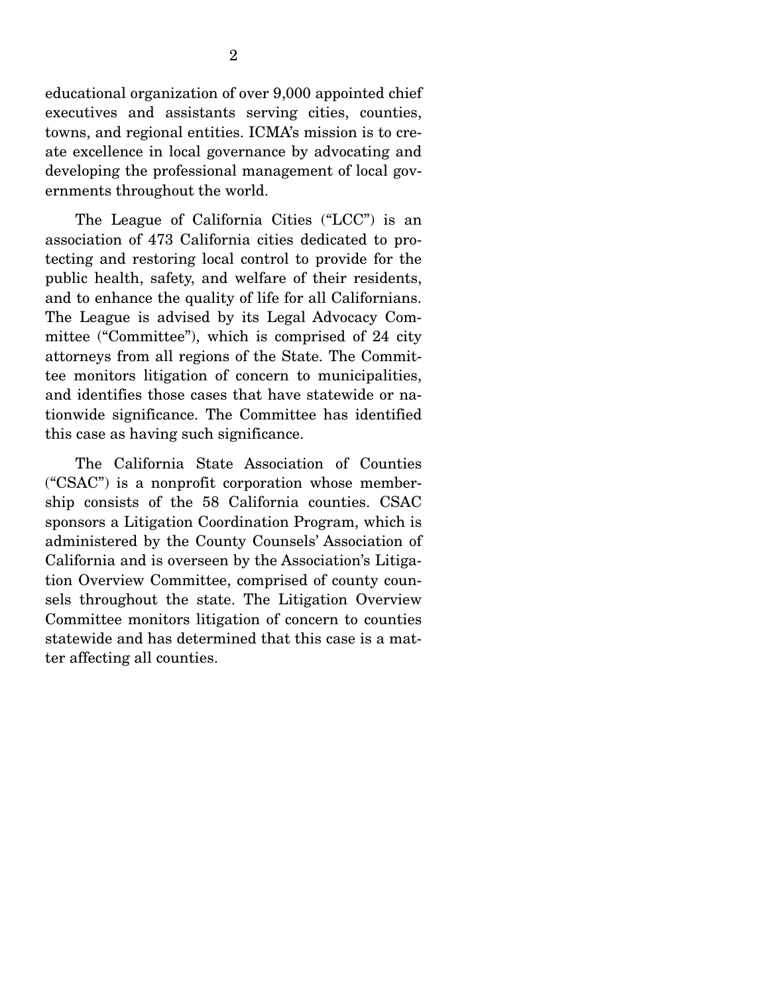educational organization of over 9,000 appointed chief executives and assistants serving cities, counties, towns, and regional entities. ICMA's mission is to create excellence in local governance by advocating and developing the professional management of local governments throughout the world.

 The League of California Cities ("LCC") is an association of 473 California cities dedicated to protecting and restoring local control to provide for the public health, safety, and welfare of their residents, and to enhance the quality of life for all Californians. The League is advised by its Legal Advocacy Committee ("Committee"), which is comprised of 24 city attorneys from all regions of the State. The Committee monitors litigation of concern to municipalities, and identifies those cases that have statewide or nationwide significance. The Committee has identified this case as having such significance.

 The California State Association of Counties ("CSAC") is a nonprofit corporation whose membership consists of the 58 California counties. CSAC sponsors a Litigation Coordination Program, which is administered by the County Counsels' Association of California and is overseen by the Association's Litigation Overview Committee, comprised of county counsels throughout the state. The Litigation Overview Committee monitors litigation of concern to counties statewide and has determined that this case is a matter affecting all counties.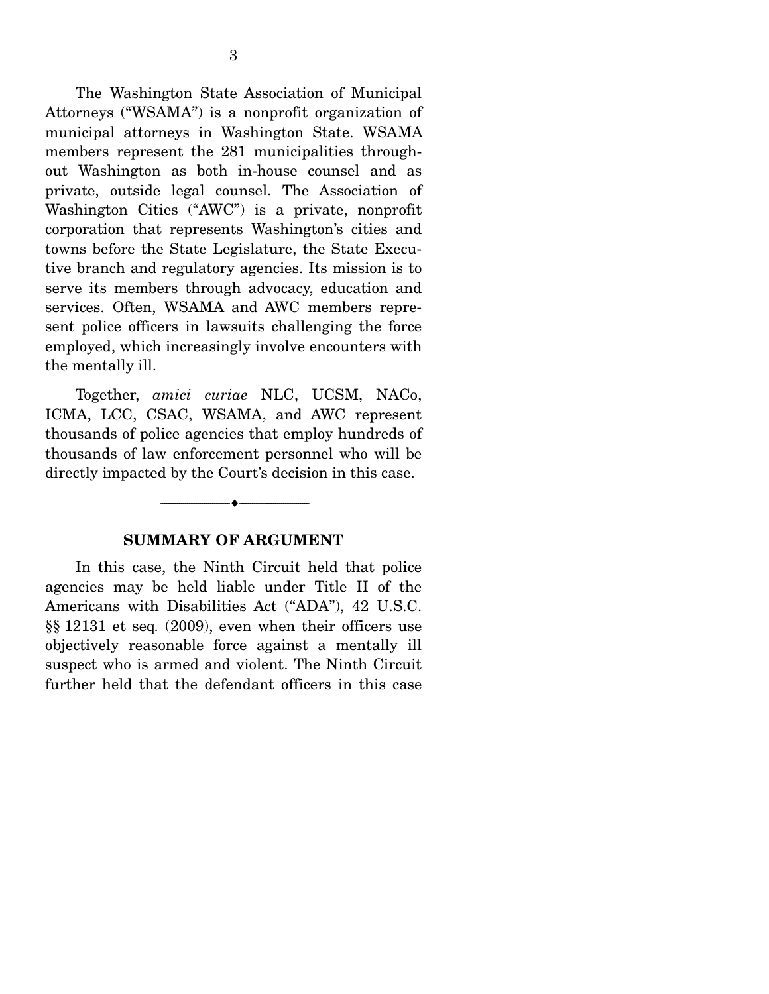The Washington State Association of Municipal Attorneys ("WSAMA") is a nonprofit organization of municipal attorneys in Washington State. WSAMA members represent the 281 municipalities throughout Washington as both in-house counsel and as private, outside legal counsel. The Association of Washington Cities ("AWC") is a private, nonprofit corporation that represents Washington's cities and towns before the State Legislature, the State Executive branch and regulatory agencies. Its mission is to serve its members through advocacy, education and services. Often, WSAMA and AWC members represent police officers in lawsuits challenging the force employed, which increasingly involve encounters with the mentally ill.

 Together, *amici curiae* NLC, UCSM, NACo, ICMA, LCC, CSAC, WSAMA, and AWC represent thousands of police agencies that employ hundreds of thousands of law enforcement personnel who will be directly impacted by the Court's decision in this case.

#### **SUMMARY OF ARGUMENT**

--------------------------------- ---------------------------------

In this case, the Ninth Circuit held that police agencies may be held liable under Title II of the Americans with Disabilities Act ("ADA"), 42 U.S.C. §§ 12131 et seq*.* (2009), even when their officers use objectively reasonable force against a mentally ill suspect who is armed and violent. The Ninth Circuit further held that the defendant officers in this case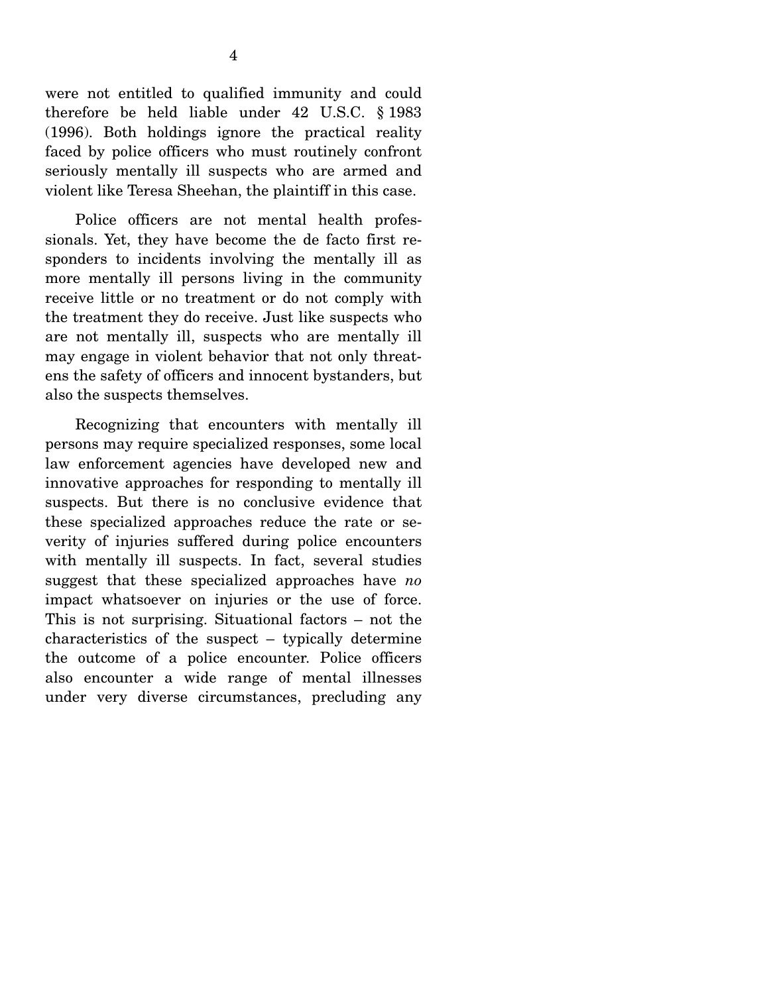were not entitled to qualified immunity and could therefore be held liable under 42 U.S.C. § 1983 (1996). Both holdings ignore the practical reality faced by police officers who must routinely confront seriously mentally ill suspects who are armed and violent like Teresa Sheehan, the plaintiff in this case.

 Police officers are not mental health professionals. Yet, they have become the de facto first responders to incidents involving the mentally ill as more mentally ill persons living in the community receive little or no treatment or do not comply with the treatment they do receive. Just like suspects who are not mentally ill, suspects who are mentally ill may engage in violent behavior that not only threatens the safety of officers and innocent bystanders, but also the suspects themselves.

 Recognizing that encounters with mentally ill persons may require specialized responses, some local law enforcement agencies have developed new and innovative approaches for responding to mentally ill suspects. But there is no conclusive evidence that these specialized approaches reduce the rate or severity of injuries suffered during police encounters with mentally ill suspects. In fact, several studies suggest that these specialized approaches have *no* impact whatsoever on injuries or the use of force. This is not surprising. Situational factors – not the characteristics of the suspect – typically determine the outcome of a police encounter. Police officers also encounter a wide range of mental illnesses under very diverse circumstances, precluding any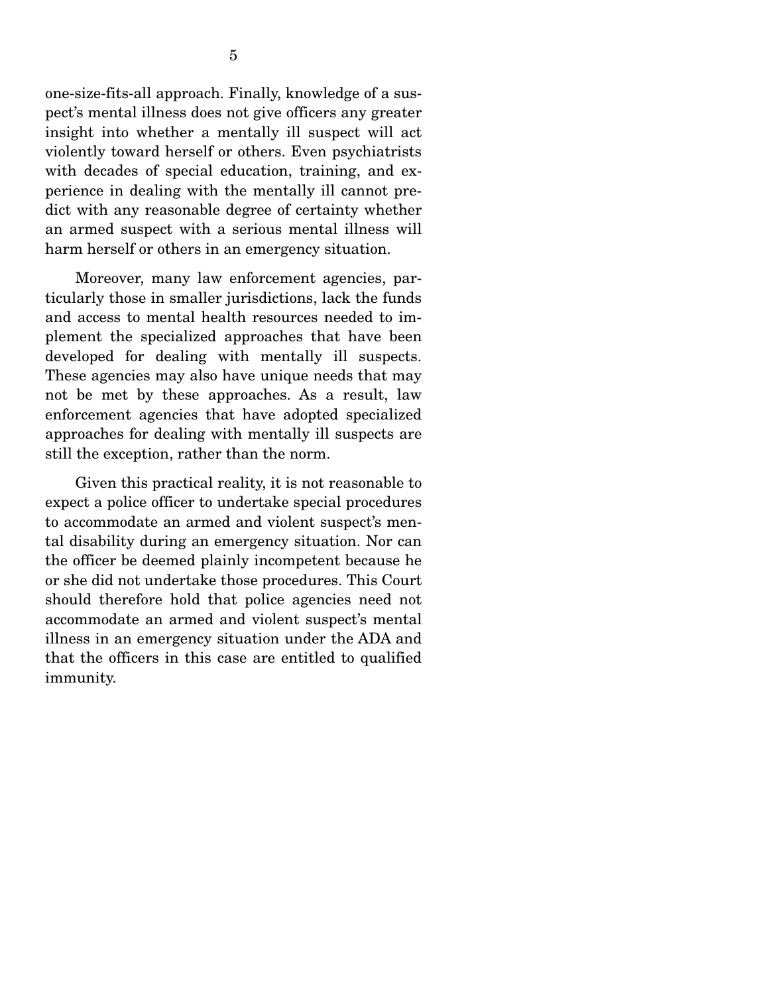one-size-fits-all approach. Finally, knowledge of a suspect's mental illness does not give officers any greater insight into whether a mentally ill suspect will act violently toward herself or others. Even psychiatrists with decades of special education, training, and experience in dealing with the mentally ill cannot predict with any reasonable degree of certainty whether an armed suspect with a serious mental illness will harm herself or others in an emergency situation.

 Moreover, many law enforcement agencies, particularly those in smaller jurisdictions, lack the funds and access to mental health resources needed to implement the specialized approaches that have been developed for dealing with mentally ill suspects. These agencies may also have unique needs that may not be met by these approaches. As a result, law enforcement agencies that have adopted specialized approaches for dealing with mentally ill suspects are still the exception, rather than the norm.

 Given this practical reality, it is not reasonable to expect a police officer to undertake special procedures to accommodate an armed and violent suspect's mental disability during an emergency situation. Nor can the officer be deemed plainly incompetent because he or she did not undertake those procedures. This Court should therefore hold that police agencies need not accommodate an armed and violent suspect's mental illness in an emergency situation under the ADA and that the officers in this case are entitled to qualified immunity.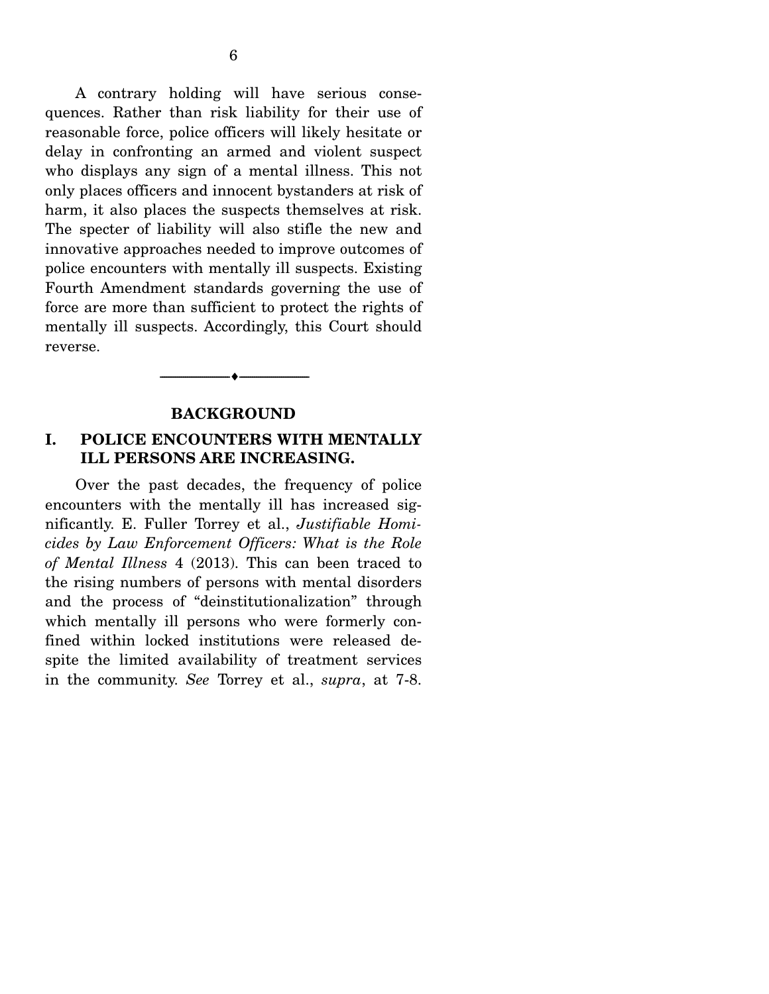A contrary holding will have serious consequences. Rather than risk liability for their use of reasonable force, police officers will likely hesitate or delay in confronting an armed and violent suspect who displays any sign of a mental illness. This not only places officers and innocent bystanders at risk of harm, it also places the suspects themselves at risk. The specter of liability will also stifle the new and innovative approaches needed to improve outcomes of police encounters with mentally ill suspects. Existing Fourth Amendment standards governing the use of force are more than sufficient to protect the rights of mentally ill suspects. Accordingly, this Court should reverse.

#### **BACKGROUND**

--------------------------------- ---------------------------------

#### **I. POLICE ENCOUNTERS WITH MENTALLY ILL PERSONS ARE INCREASING.**

Over the past decades, the frequency of police encounters with the mentally ill has increased significantly. E. Fuller Torrey et al., *Justifiable Homicides by Law Enforcement Officers: What is the Role of Mental Illness* 4 (2013). This can been traced to the rising numbers of persons with mental disorders and the process of "deinstitutionalization" through which mentally ill persons who were formerly confined within locked institutions were released despite the limited availability of treatment services in the community. *See* Torrey et al., *supra*, at 7-8.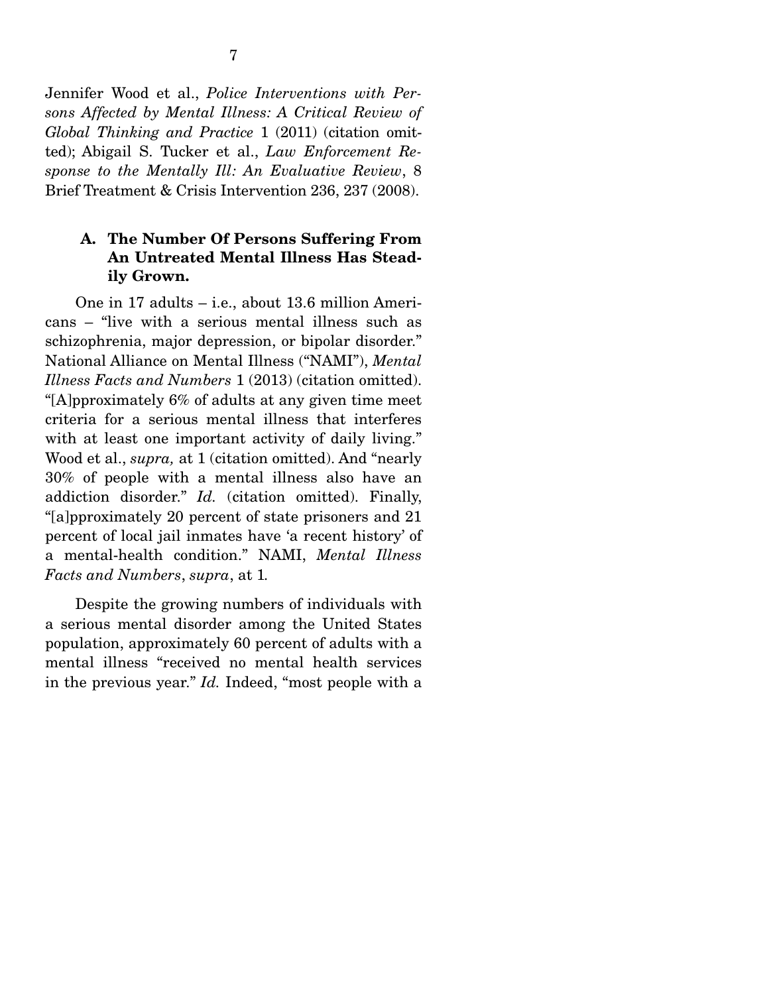Jennifer Wood et al., *Police Interventions with Persons Affected by Mental Illness: A Critical Review of Global Thinking and Practice* 1 (2011) (citation omitted); Abigail S. Tucker et al., *Law Enforcement Response to the Mentally Ill: An Evaluative Review*, 8 Brief Treatment & Crisis Intervention 236, 237 (2008).

### **A. The Number Of Persons Suffering From An Untreated Mental Illness Has Steadily Grown.**

One in 17 adults – i.e., about 13.6 million Americans – "live with a serious mental illness such as schizophrenia, major depression, or bipolar disorder." National Alliance on Mental Illness ("NAMI"), *Mental Illness Facts and Numbers* 1 (2013) (citation omitted). "[A]pproximately 6% of adults at any given time meet criteria for a serious mental illness that interferes with at least one important activity of daily living." Wood et al., *supra,* at 1 (citation omitted). And "nearly 30% of people with a mental illness also have an addiction disorder." *Id.* (citation omitted). Finally, "[a]pproximately 20 percent of state prisoners and 21 percent of local jail inmates have 'a recent history' of a mental-health condition." NAMI, *Mental Illness Facts and Numbers*, *supra*, at 1*.*

 Despite the growing numbers of individuals with a serious mental disorder among the United States population, approximately 60 percent of adults with a mental illness "received no mental health services in the previous year." *Id.* Indeed, "most people with a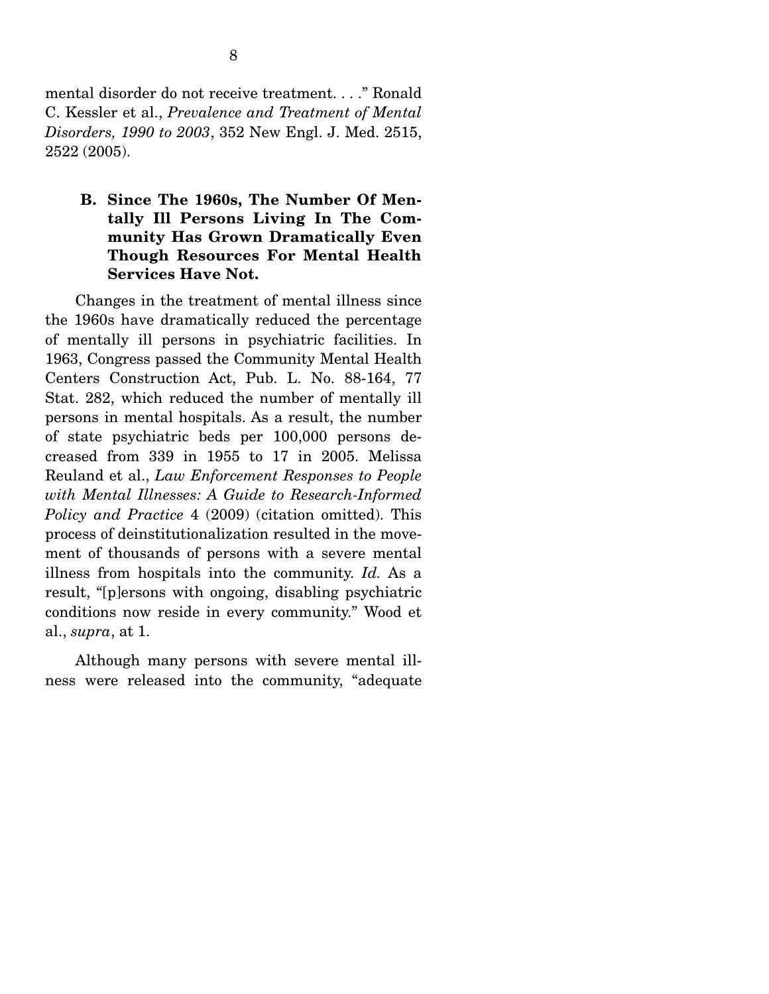mental disorder do not receive treatment. . . ." Ronald C. Kessler et al., *Prevalence and Treatment of Mental Disorders, 1990 to 2003*, 352 New Engl. J. Med. 2515, 2522 (2005).

### **B. Since The 1960s, The Number Of Mentally Ill Persons Living In The Community Has Grown Dramatically Even Though Resources For Mental Health Services Have Not.**

Changes in the treatment of mental illness since the 1960s have dramatically reduced the percentage of mentally ill persons in psychiatric facilities. In 1963, Congress passed the Community Mental Health Centers Construction Act, Pub. L. No. 88-164, 77 Stat. 282, which reduced the number of mentally ill persons in mental hospitals. As a result, the number of state psychiatric beds per 100,000 persons decreased from 339 in 1955 to 17 in 2005. Melissa Reuland et al., *Law Enforcement Responses to People with Mental Illnesses: A Guide to Research-Informed Policy and Practice* 4 (2009) (citation omitted). This process of deinstitutionalization resulted in the movement of thousands of persons with a severe mental illness from hospitals into the community. *Id.* As a result, "[p]ersons with ongoing, disabling psychiatric conditions now reside in every community." Wood et al., *supra*, at 1.

 Although many persons with severe mental illness were released into the community, "adequate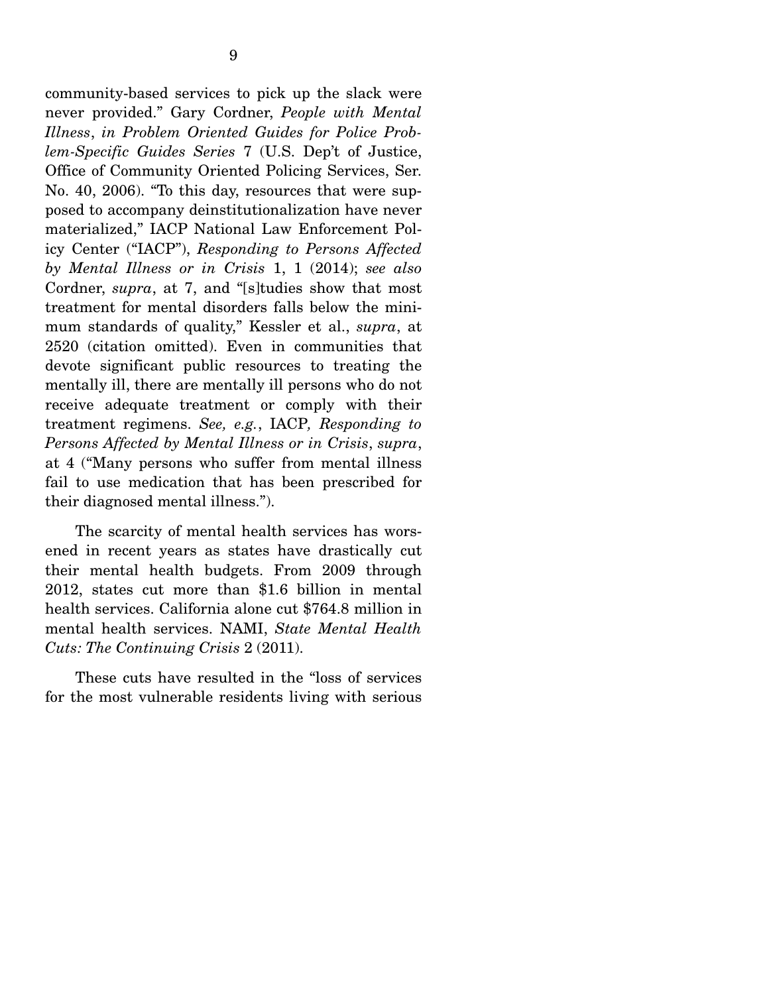community-based services to pick up the slack were never provided." Gary Cordner, *People with Mental Illness*, *in Problem Oriented Guides for Police Problem-Specific Guides Series* 7 (U.S. Dep't of Justice, Office of Community Oriented Policing Services, Ser. No. 40, 2006). "To this day, resources that were supposed to accompany deinstitutionalization have never materialized," IACP National Law Enforcement Policy Center ("IACP"), *Responding to Persons Affected by Mental Illness or in Crisis* 1, 1 (2014); *see also*  Cordner, *supra*, at 7, and "[s]tudies show that most treatment for mental disorders falls below the minimum standards of quality," Kessler et al., *supra*, at 2520 (citation omitted). Even in communities that devote significant public resources to treating the mentally ill, there are mentally ill persons who do not receive adequate treatment or comply with their treatment regimens. *See, e.g.*, IACP*, Responding to Persons Affected by Mental Illness or in Crisis*, *supra*, at 4 ("Many persons who suffer from mental illness fail to use medication that has been prescribed for their diagnosed mental illness.").

 The scarcity of mental health services has worsened in recent years as states have drastically cut their mental health budgets. From 2009 through 2012, states cut more than \$1.6 billion in mental health services. California alone cut \$764.8 million in mental health services. NAMI, *State Mental Health Cuts: The Continuing Crisis* 2 (2011).

 These cuts have resulted in the "loss of services for the most vulnerable residents living with serious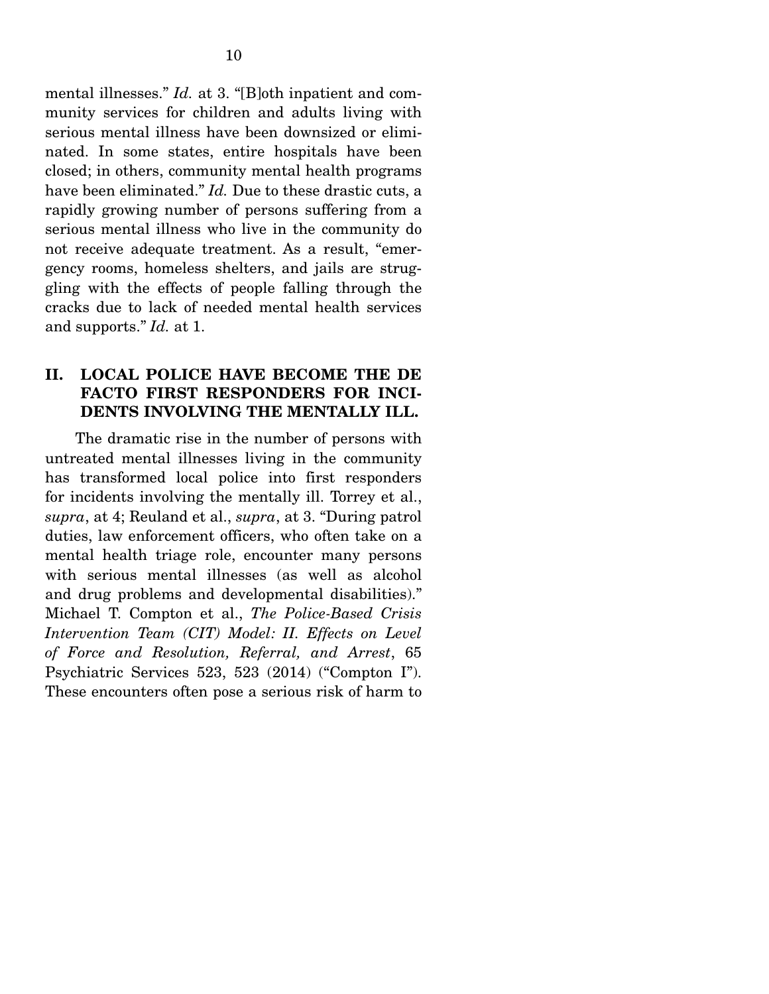mental illnesses." *Id.* at 3. "[B]oth inpatient and community services for children and adults living with serious mental illness have been downsized or eliminated. In some states, entire hospitals have been closed; in others, community mental health programs have been eliminated." *Id.* Due to these drastic cuts, a rapidly growing number of persons suffering from a serious mental illness who live in the community do not receive adequate treatment. As a result, "emergency rooms, homeless shelters, and jails are struggling with the effects of people falling through the cracks due to lack of needed mental health services and supports." *Id.* at 1.

### **II. LOCAL POLICE HAVE BECOME THE DE FACTO FIRST RESPONDERS FOR INCI-DENTS INVOLVING THE MENTALLY ILL.**

The dramatic rise in the number of persons with untreated mental illnesses living in the community has transformed local police into first responders for incidents involving the mentally ill. Torrey et al., *supra*, at 4; Reuland et al., *supra*, at 3. "During patrol duties, law enforcement officers, who often take on a mental health triage role, encounter many persons with serious mental illnesses (as well as alcohol and drug problems and developmental disabilities)." Michael T. Compton et al., *The Police-Based Crisis Intervention Team (CIT) Model: II. Effects on Level of Force and Resolution, Referral, and Arrest*, 65 Psychiatric Services 523, 523 (2014) ("Compton I"). These encounters often pose a serious risk of harm to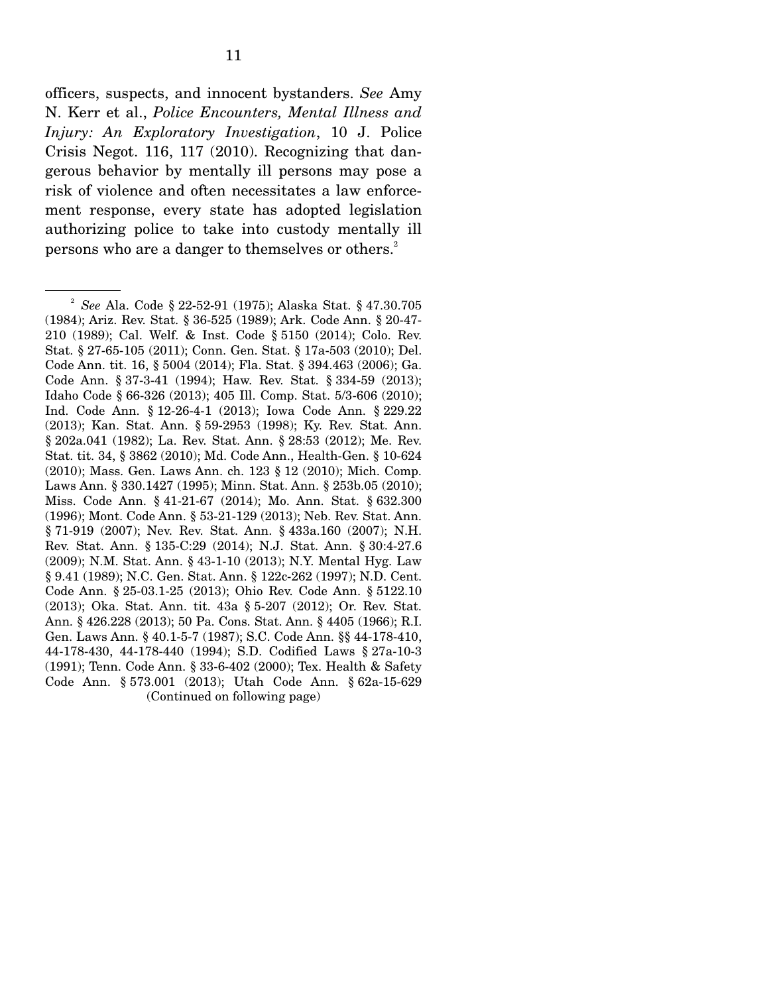officers, suspects, and innocent bystanders. *See* Amy N. Kerr et al., *Police Encounters, Mental Illness and Injury: An Exploratory Investigation*, 10 J. Police Crisis Negot. 116, 117 (2010). Recognizing that dangerous behavior by mentally ill persons may pose a risk of violence and often necessitates a law enforcement response, every state has adopted legislation authorizing police to take into custody mentally ill persons who are a danger to themselves or others. $^{2}$ 

<sup>2</sup> *See* Ala. Code § 22-52-91 (1975); Alaska Stat. § 47.30.705 (1984); Ariz. Rev. Stat. § 36-525 (1989); Ark. Code Ann. § 20-47- 210 (1989); Cal. Welf. & Inst. Code § 5150 (2014); Colo. Rev. Stat. § 27-65-105 (2011); Conn. Gen. Stat. § 17a-503 (2010); Del. Code Ann. tit. 16, § 5004 (2014); Fla. Stat. § 394.463 (2006); Ga. Code Ann. § 37-3-41 (1994); Haw. Rev. Stat. § 334-59 (2013); Idaho Code § 66-326 (2013); 405 Ill. Comp. Stat. 5/3-606 (2010); Ind. Code Ann. § 12-26-4-1 (2013); Iowa Code Ann. § 229.22 (2013); Kan. Stat. Ann. § 59-2953 (1998); Ky. Rev. Stat. Ann. § 202a.041 (1982); La. Rev. Stat. Ann. § 28:53 (2012); Me. Rev. Stat. tit. 34, § 3862 (2010); Md. Code Ann., Health-Gen. § 10-624 (2010); Mass. Gen. Laws Ann. ch. 123 § 12 (2010); Mich. Comp. Laws Ann. § 330.1427 (1995); Minn. Stat. Ann. § 253b.05 (2010); Miss. Code Ann. § 41-21-67 (2014); Mo. Ann. Stat. § 632.300 (1996); Mont. Code Ann. § 53-21-129 (2013); Neb. Rev. Stat. Ann. § 71-919 (2007); Nev. Rev. Stat. Ann. § 433a.160 (2007); N.H. Rev. Stat. Ann. § 135-C:29 (2014); N.J. Stat. Ann. § 30:4-27.6 (2009); N.M. Stat. Ann. § 43-1-10 (2013); N.Y. Mental Hyg. Law § 9.41 (1989); N.C. Gen. Stat. Ann. § 122c-262 (1997); N.D. Cent. Code Ann. § 25-03.1-25 (2013); Ohio Rev. Code Ann. § 5122.10 (2013); Oka. Stat. Ann. tit. 43a § 5-207 (2012); Or. Rev. Stat. Ann. § 426.228 (2013); 50 Pa. Cons. Stat. Ann. § 4405 (1966); R.I. Gen. Laws Ann. § 40.1-5-7 (1987); S.C. Code Ann. §§ 44-178-410, 44-178-430, 44-178-440 (1994); S.D. Codified Laws § 27a-10-3 (1991); Tenn. Code Ann. § 33-6-402 (2000); Tex. Health & Safety Code Ann. § 573.001 (2013); Utah Code Ann. § 62a-15-629 (Continued on following page)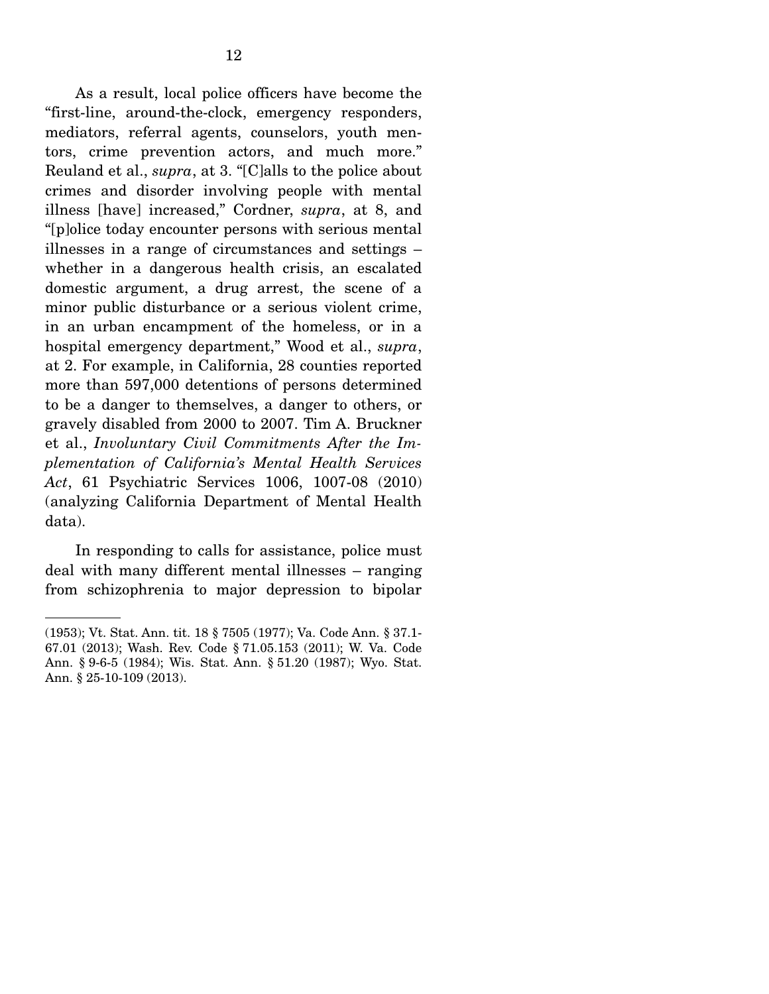As a result, local police officers have become the "first-line, around-the-clock, emergency responders, mediators, referral agents, counselors, youth mentors, crime prevention actors, and much more." Reuland et al., *supra*, at 3. "[C]alls to the police about crimes and disorder involving people with mental illness [have] increased," Cordner, *supra*, at 8, and "[p]olice today encounter persons with serious mental illnesses in a range of circumstances and settings – whether in a dangerous health crisis, an escalated domestic argument, a drug arrest, the scene of a minor public disturbance or a serious violent crime, in an urban encampment of the homeless, or in a hospital emergency department," Wood et al., *supra*, at 2. For example, in California, 28 counties reported more than 597,000 detentions of persons determined to be a danger to themselves, a danger to others, or gravely disabled from 2000 to 2007. Tim A. Bruckner et al., *Involuntary Civil Commitments After the Implementation of California's Mental Health Services Act*, 61 Psychiatric Services 1006, 1007-08 (2010) (analyzing California Department of Mental Health data).

 In responding to calls for assistance, police must deal with many different mental illnesses – ranging from schizophrenia to major depression to bipolar

<sup>(1953);</sup> Vt. Stat. Ann. tit. 18 § 7505 (1977); Va. Code Ann. § 37.1- 67.01 (2013); Wash. Rev. Code § 71.05.153 (2011); W. Va. Code Ann. § 9-6-5 (1984); Wis. Stat. Ann. § 51.20 (1987); Wyo. Stat. Ann. § 25-10-109 (2013).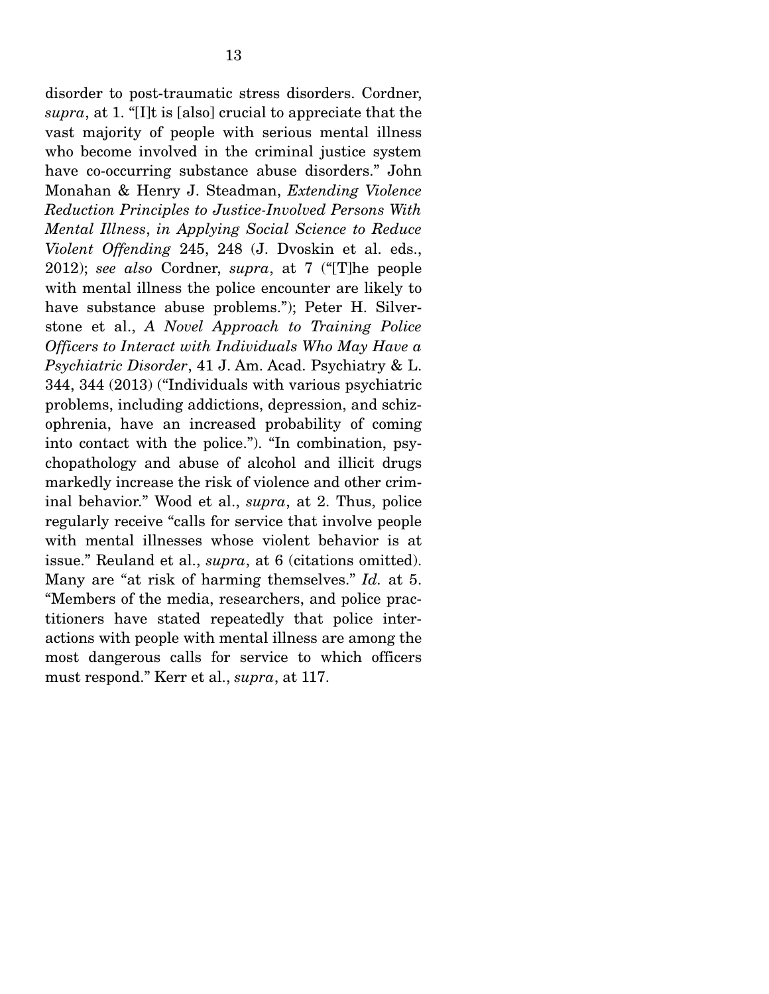disorder to post-traumatic stress disorders. Cordner, *supra*, at 1. "[I]t is [also] crucial to appreciate that the vast majority of people with serious mental illness who become involved in the criminal justice system have co-occurring substance abuse disorders." John Monahan & Henry J. Steadman, *Extending Violence Reduction Principles to Justice-Involved Persons With Mental Illness*, *in Applying Social Science to Reduce Violent Offending* 245, 248 (J. Dvoskin et al. eds., 2012); *see also* Cordner, *supra*, at 7 ("[T]he people with mental illness the police encounter are likely to have substance abuse problems."); Peter H. Silverstone et al., *A Novel Approach to Training Police Officers to Interact with Individuals Who May Have a Psychiatric Disorder*, 41 J. Am. Acad. Psychiatry & L. 344, 344 (2013) ("Individuals with various psychiatric problems, including addictions, depression, and schizophrenia, have an increased probability of coming into contact with the police."). "In combination, psychopathology and abuse of alcohol and illicit drugs markedly increase the risk of violence and other criminal behavior." Wood et al., *supra*, at 2. Thus, police regularly receive "calls for service that involve people with mental illnesses whose violent behavior is at issue." Reuland et al., *supra*, at 6 (citations omitted). Many are "at risk of harming themselves." *Id.* at 5. "Members of the media, researchers, and police practitioners have stated repeatedly that police interactions with people with mental illness are among the most dangerous calls for service to which officers must respond." Kerr et al., *supra*, at 117.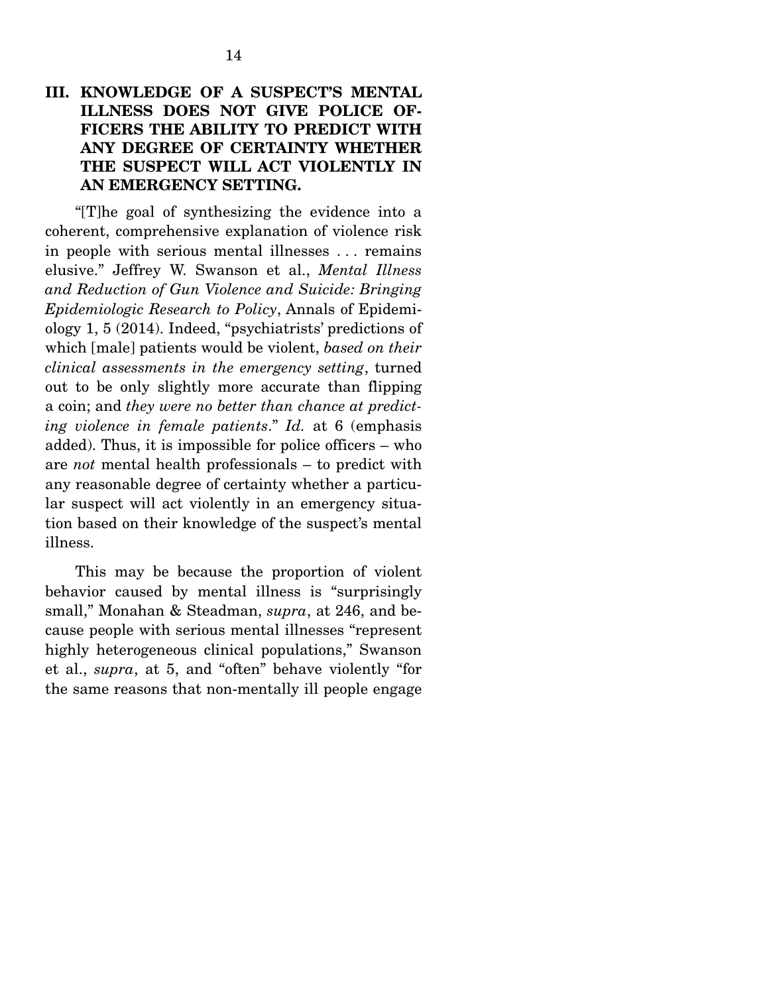## **III. KNOWLEDGE OF A SUSPECT'S MENTAL ILLNESS DOES NOT GIVE POLICE OF-FICERS THE ABILITY TO PREDICT WITH ANY DEGREE OF CERTAINTY WHETHER THE SUSPECT WILL ACT VIOLENTLY IN AN EMERGENCY SETTING.**

"[T]he goal of synthesizing the evidence into a coherent, comprehensive explanation of violence risk in people with serious mental illnesses . . . remains elusive." Jeffrey W. Swanson et al., *Mental Illness and Reduction of Gun Violence and Suicide: Bringing Epidemiologic Research to Policy*, Annals of Epidemiology 1, 5 (2014). Indeed, "psychiatrists' predictions of which [male] patients would be violent, *based on their clinical assessments in the emergency setting*, turned out to be only slightly more accurate than flipping a coin; and *they were no better than chance at predicting violence in female patients*." *Id.* at 6 (emphasis added). Thus, it is impossible for police officers – who are *not* mental health professionals – to predict with any reasonable degree of certainty whether a particular suspect will act violently in an emergency situation based on their knowledge of the suspect's mental illness.

 This may be because the proportion of violent behavior caused by mental illness is "surprisingly small," Monahan & Steadman, *supra*, at 246, and because people with serious mental illnesses "represent highly heterogeneous clinical populations," Swanson et al., *supra*, at 5, and "often" behave violently "for the same reasons that non-mentally ill people engage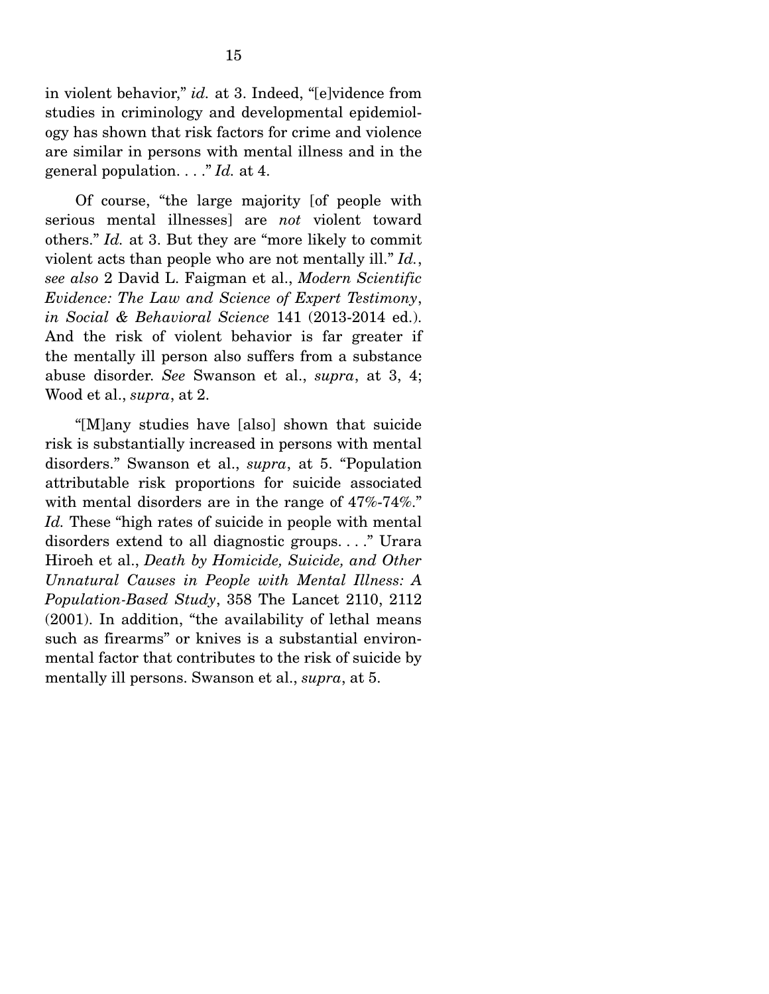in violent behavior," *id.* at 3. Indeed, "[e]vidence from studies in criminology and developmental epidemiology has shown that risk factors for crime and violence are similar in persons with mental illness and in the general population. . . ." *Id.* at 4.

 Of course, "the large majority [of people with serious mental illnesses] are *not* violent toward others." *Id.* at 3. But they are "more likely to commit violent acts than people who are not mentally ill." *Id.*, *see also* 2 David L. Faigman et al., *Modern Scientific Evidence: The Law and Science of Expert Testimony*, *in Social & Behavioral Science* 141 (2013-2014 ed.). And the risk of violent behavior is far greater if the mentally ill person also suffers from a substance abuse disorder. *See* Swanson et al., *supra*, at 3, 4; Wood et al., *supra*, at 2.

 "[M]any studies have [also] shown that suicide risk is substantially increased in persons with mental disorders." Swanson et al., *supra*, at 5. "Population attributable risk proportions for suicide associated with mental disorders are in the range of  $47\%$ -74%." *Id.* These "high rates of suicide in people with mental disorders extend to all diagnostic groups. . . ." Urara Hiroeh et al., *Death by Homicide, Suicide, and Other Unnatural Causes in People with Mental Illness: A Population-Based Study*, 358 The Lancet 2110, 2112 (2001). In addition, "the availability of lethal means such as firearms" or knives is a substantial environmental factor that contributes to the risk of suicide by mentally ill persons. Swanson et al., *supra*, at 5.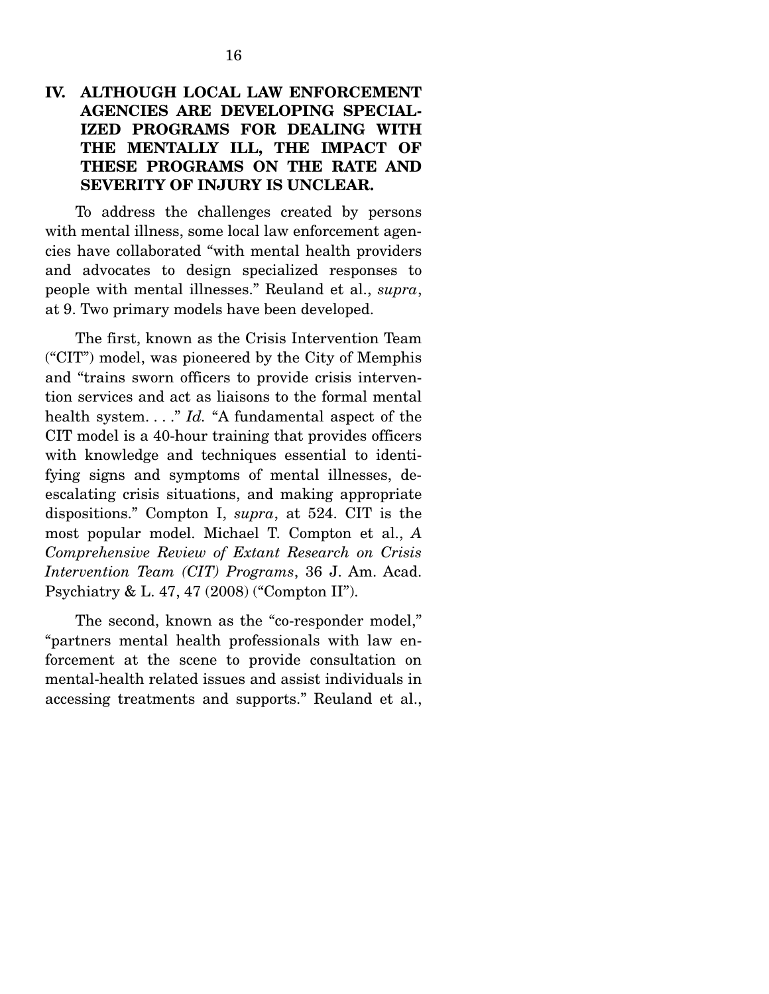## **IV. ALTHOUGH LOCAL LAW ENFORCEMENT AGENCIES ARE DEVELOPING SPECIAL-IZED PROGRAMS FOR DEALING WITH THE MENTALLY ILL, THE IMPACT OF THESE PROGRAMS ON THE RATE AND SEVERITY OF INJURY IS UNCLEAR.**

To address the challenges created by persons with mental illness, some local law enforcement agencies have collaborated "with mental health providers and advocates to design specialized responses to people with mental illnesses." Reuland et al., *supra*, at 9. Two primary models have been developed.

 The first, known as the Crisis Intervention Team ("CIT") model, was pioneered by the City of Memphis and "trains sworn officers to provide crisis intervention services and act as liaisons to the formal mental health system. . . ." *Id.* "A fundamental aspect of the CIT model is a 40-hour training that provides officers with knowledge and techniques essential to identifying signs and symptoms of mental illnesses, deescalating crisis situations, and making appropriate dispositions." Compton I, *supra*, at 524. CIT is the most popular model. Michael T. Compton et al., *A Comprehensive Review of Extant Research on Crisis Intervention Team (CIT) Programs*, 36 J. Am. Acad. Psychiatry & L. 47, 47 (2008) ("Compton II").

 The second, known as the "co-responder model," "partners mental health professionals with law enforcement at the scene to provide consultation on mental-health related issues and assist individuals in accessing treatments and supports." Reuland et al.,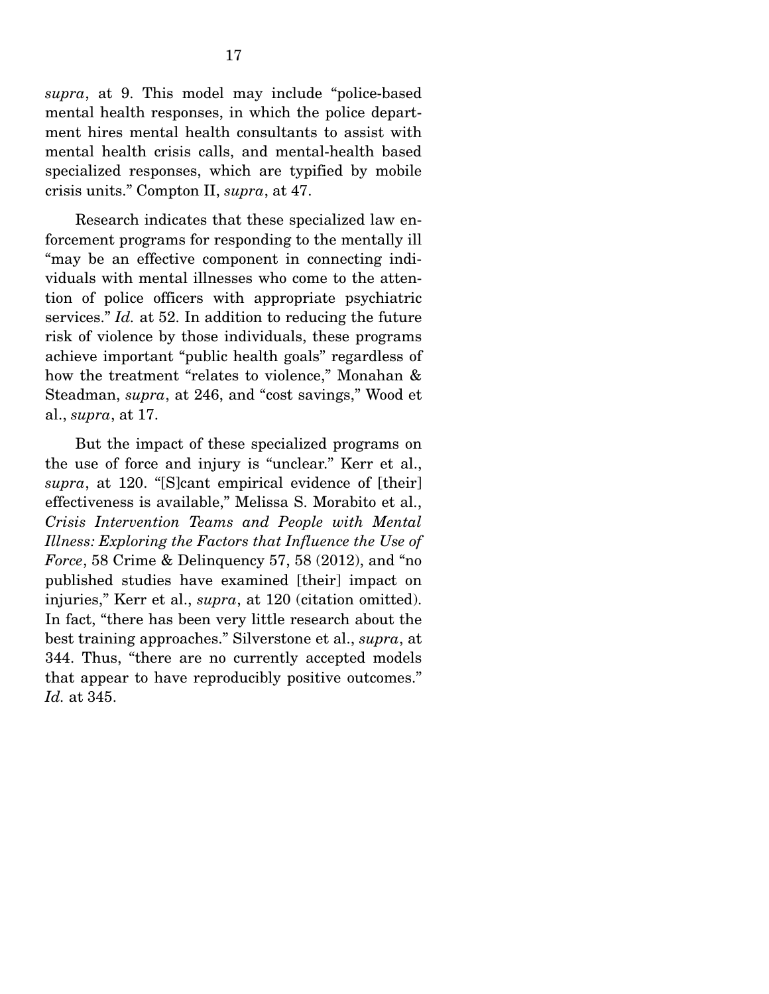*supra*, at 9. This model may include "police-based mental health responses, in which the police department hires mental health consultants to assist with mental health crisis calls, and mental-health based specialized responses, which are typified by mobile crisis units." Compton II, *supra*, at 47.

 Research indicates that these specialized law enforcement programs for responding to the mentally ill "may be an effective component in connecting individuals with mental illnesses who come to the attention of police officers with appropriate psychiatric services." *Id.* at 52. In addition to reducing the future risk of violence by those individuals, these programs achieve important "public health goals" regardless of how the treatment "relates to violence," Monahan & Steadman, *supra*, at 246, and "cost savings," Wood et al., *supra*, at 17.

 But the impact of these specialized programs on the use of force and injury is "unclear." Kerr et al., *supra*, at 120. "[S]cant empirical evidence of [their] effectiveness is available," Melissa S. Morabito et al., *Crisis Intervention Teams and People with Mental Illness: Exploring the Factors that Influence the Use of Force*, 58 Crime & Delinquency 57, 58 (2012), and "no published studies have examined [their] impact on injuries," Kerr et al., *supra*, at 120 (citation omitted). In fact, "there has been very little research about the best training approaches." Silverstone et al., *supra*, at 344. Thus, "there are no currently accepted models that appear to have reproducibly positive outcomes." *Id.* at 345.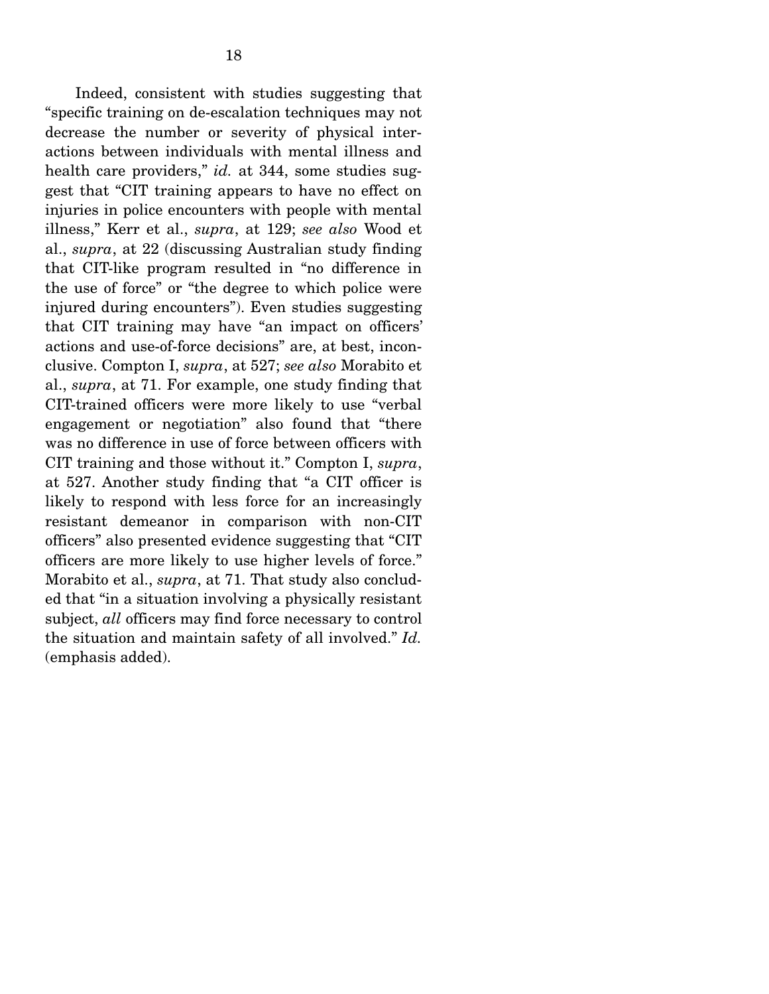Indeed, consistent with studies suggesting that "specific training on de-escalation techniques may not decrease the number or severity of physical interactions between individuals with mental illness and health care providers," *id.* at 344, some studies suggest that "CIT training appears to have no effect on injuries in police encounters with people with mental illness," Kerr et al., *supra*, at 129; *see also* Wood et al., *supra*, at 22 (discussing Australian study finding that CIT-like program resulted in "no difference in the use of force" or "the degree to which police were injured during encounters"). Even studies suggesting that CIT training may have "an impact on officers' actions and use-of-force decisions" are, at best, inconclusive. Compton I, *supra*, at 527; *see also* Morabito et al., *supra*, at 71. For example, one study finding that CIT-trained officers were more likely to use "verbal engagement or negotiation" also found that "there was no difference in use of force between officers with CIT training and those without it." Compton I, *supra*, at 527. Another study finding that "a CIT officer is likely to respond with less force for an increasingly resistant demeanor in comparison with non-CIT officers" also presented evidence suggesting that "CIT officers are more likely to use higher levels of force." Morabito et al., *supra*, at 71. That study also concluded that "in a situation involving a physically resistant subject, *all* officers may find force necessary to control the situation and maintain safety of all involved." *Id.* (emphasis added).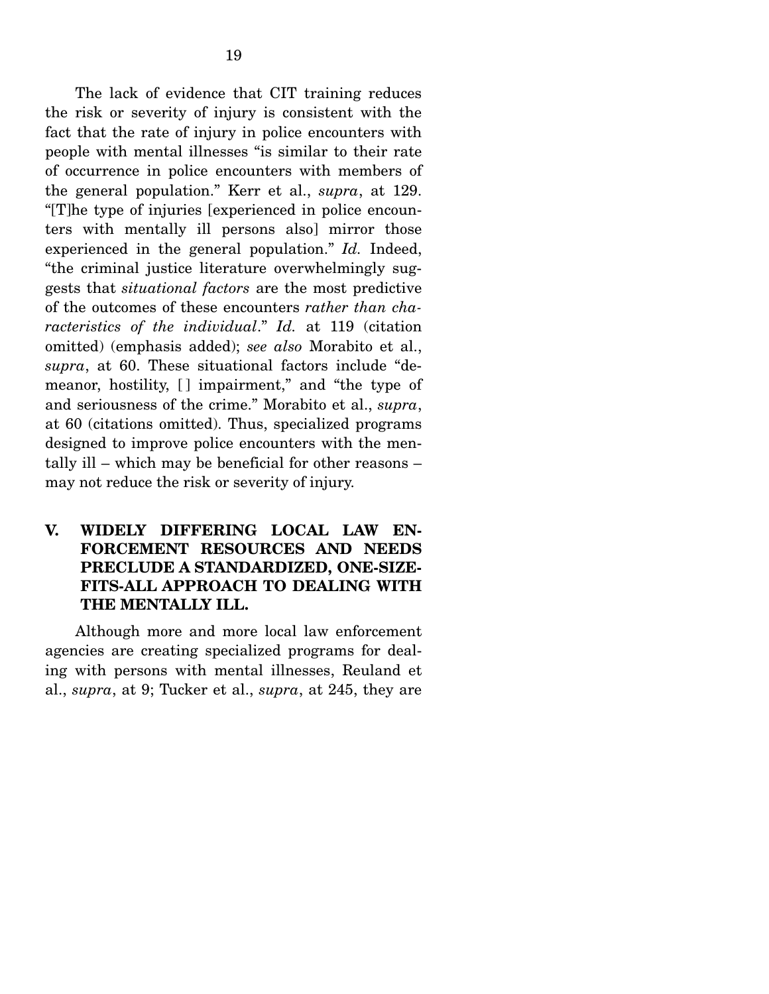The lack of evidence that CIT training reduces the risk or severity of injury is consistent with the fact that the rate of injury in police encounters with people with mental illnesses "is similar to their rate of occurrence in police encounters with members of the general population." Kerr et al., *supra*, at 129. "[T]he type of injuries [experienced in police encounters with mentally ill persons also] mirror those experienced in the general population." *Id.* Indeed, "the criminal justice literature overwhelmingly suggests that *situational factors* are the most predictive of the outcomes of these encounters *rather than characteristics of the individual*." *Id.* at 119 (citation omitted) (emphasis added); *see also* Morabito et al., *supra*, at 60. These situational factors include "demeanor, hostility, [] impairment," and "the type of and seriousness of the crime." Morabito et al., *supra*, at 60 (citations omitted). Thus, specialized programs designed to improve police encounters with the mentally ill – which may be beneficial for other reasons – may not reduce the risk or severity of injury.

### **V. WIDELY DIFFERING LOCAL LAW EN-FORCEMENT RESOURCES AND NEEDS PRECLUDE A STANDARDIZED, ONE-SIZE-FITS-ALL APPROACH TO DEALING WITH THE MENTALLY ILL.**

Although more and more local law enforcement agencies are creating specialized programs for dealing with persons with mental illnesses, Reuland et al., *supra*, at 9; Tucker et al., *supra*, at 245, they are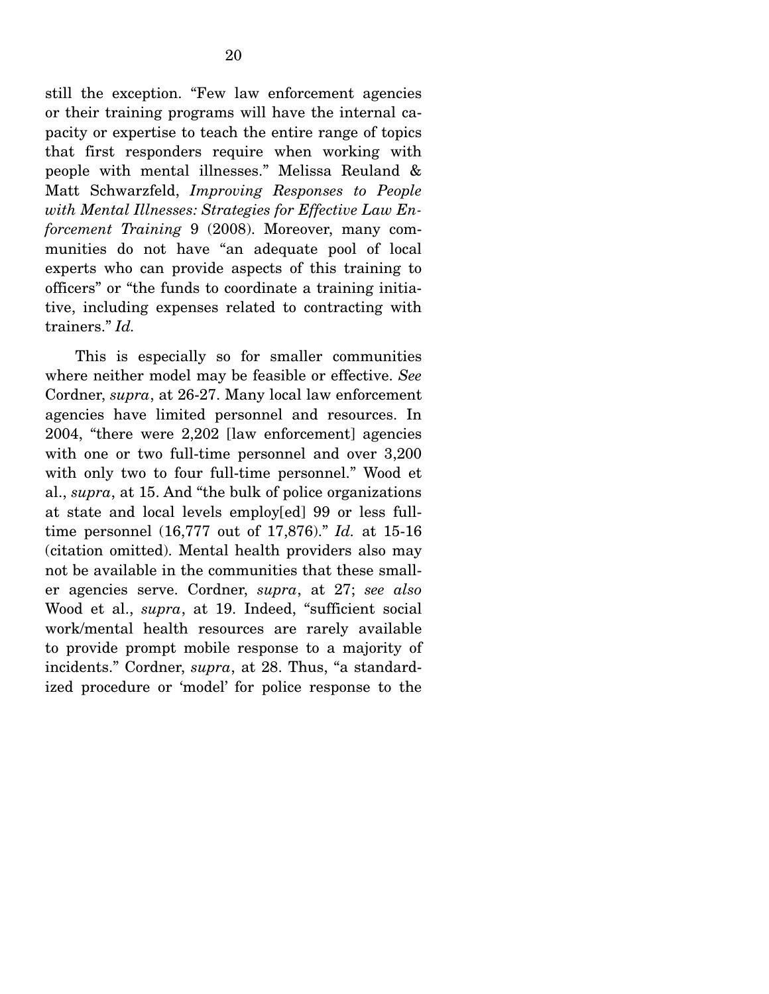still the exception. "Few law enforcement agencies or their training programs will have the internal capacity or expertise to teach the entire range of topics that first responders require when working with people with mental illnesses." Melissa Reuland & Matt Schwarzfeld, *Improving Responses to People with Mental Illnesses: Strategies for Effective Law Enforcement Training* 9 (2008). Moreover, many communities do not have "an adequate pool of local experts who can provide aspects of this training to officers" or "the funds to coordinate a training initiative, including expenses related to contracting with trainers." *Id.*

 This is especially so for smaller communities where neither model may be feasible or effective. *See*  Cordner, *supra*, at 26-27. Many local law enforcement agencies have limited personnel and resources. In 2004, "there were 2,202 [law enforcement] agencies with one or two full-time personnel and over 3,200 with only two to four full-time personnel." Wood et al., *supra*, at 15. And "the bulk of police organizations at state and local levels employ[ed] 99 or less fulltime personnel (16,777 out of 17,876)." *Id.* at 15-16 (citation omitted). Mental health providers also may not be available in the communities that these smaller agencies serve. Cordner, *supra*, at 27; *see also* Wood et al., *supra*, at 19. Indeed, "sufficient social work/mental health resources are rarely available to provide prompt mobile response to a majority of incidents." Cordner, *supra*, at 28. Thus, "a standardized procedure or 'model' for police response to the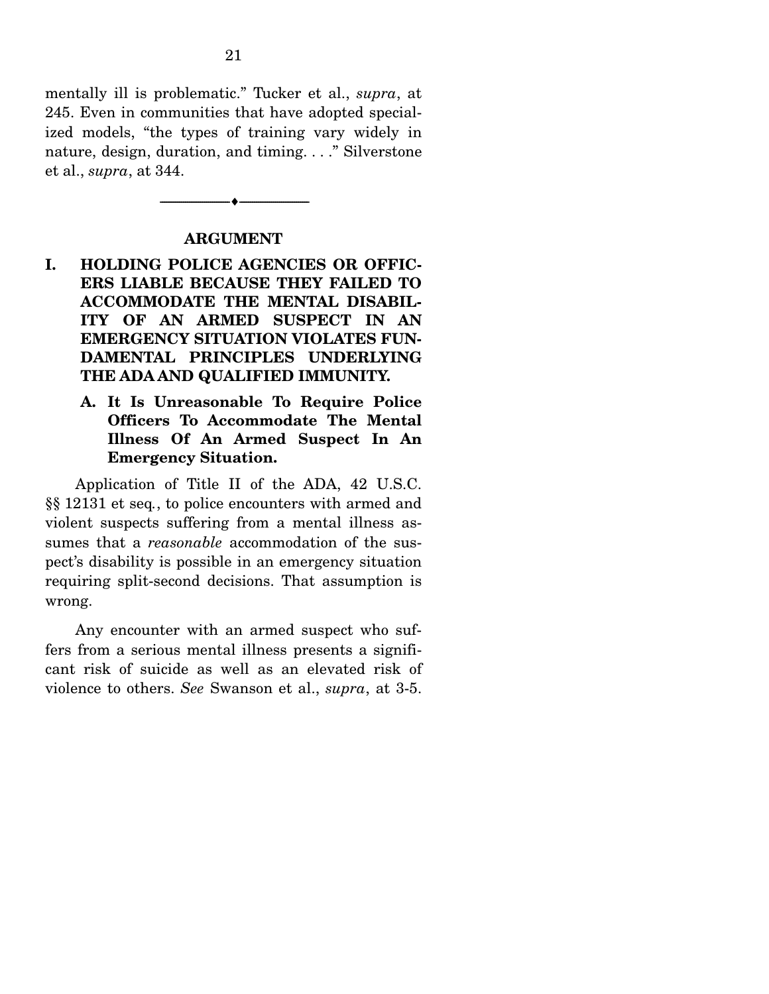mentally ill is problematic." Tucker et al., *supra*, at 245. Even in communities that have adopted specialized models, "the types of training vary widely in nature, design, duration, and timing. . . ." Silverstone et al., *supra*, at 344.

#### **ARGUMENT**

--------------------------------- ---------------------------------

- **I. HOLDING POLICE AGENCIES OR OFFIC-ERS LIABLE BECAUSE THEY FAILED TO ACCOMMODATE THE MENTAL DISABIL-ITY OF AN ARMED SUSPECT IN AN EMERGENCY SITUATION VIOLATES FUN-DAMENTAL PRINCIPLES UNDERLYING THE ADA AND QUALIFIED IMMUNITY.** 
	- **A. It Is Unreasonable To Require Police Officers To Accommodate The Mental Illness Of An Armed Suspect In An Emergency Situation.**

Application of Title II of the ADA, 42 U.S.C. §§ 12131 et seq*.*, to police encounters with armed and violent suspects suffering from a mental illness assumes that a *reasonable* accommodation of the suspect's disability is possible in an emergency situation requiring split-second decisions. That assumption is wrong.

 Any encounter with an armed suspect who suffers from a serious mental illness presents a significant risk of suicide as well as an elevated risk of violence to others. *See* Swanson et al., *supra*, at 3-5.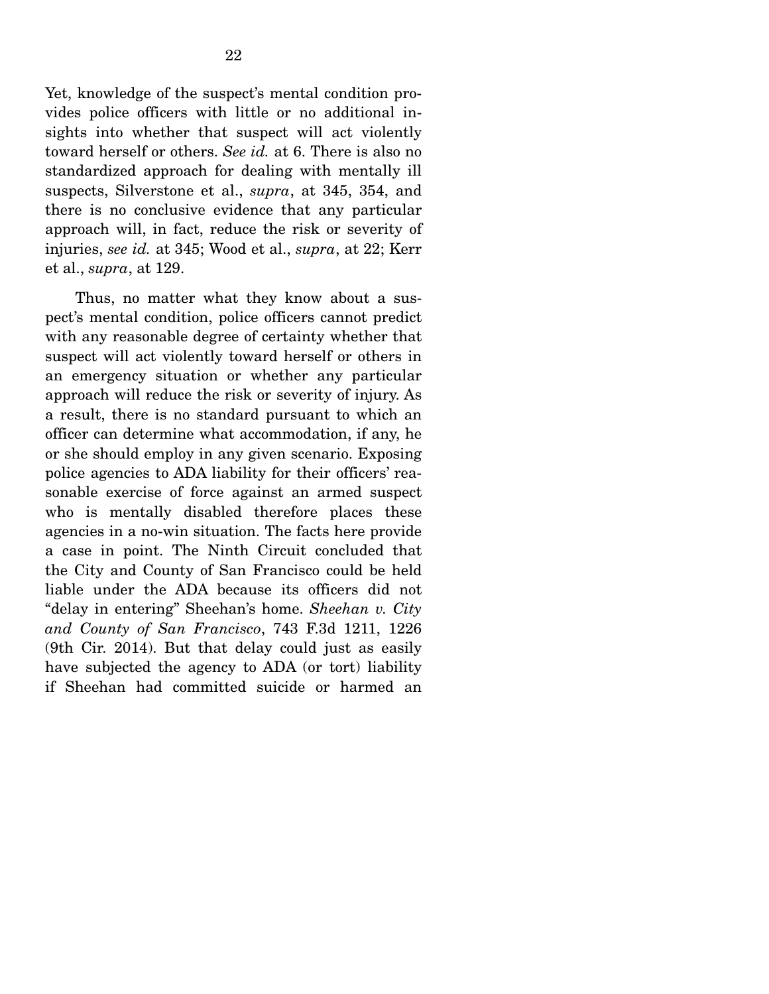Yet, knowledge of the suspect's mental condition provides police officers with little or no additional insights into whether that suspect will act violently toward herself or others. *See id.* at 6. There is also no standardized approach for dealing with mentally ill suspects, Silverstone et al., *supra*, at 345, 354, and there is no conclusive evidence that any particular approach will, in fact, reduce the risk or severity of injuries, *see id.* at 345; Wood et al., *supra*, at 22; Kerr et al., *supra*, at 129.

 Thus, no matter what they know about a suspect's mental condition, police officers cannot predict with any reasonable degree of certainty whether that suspect will act violently toward herself or others in an emergency situation or whether any particular approach will reduce the risk or severity of injury. As a result, there is no standard pursuant to which an officer can determine what accommodation, if any, he or she should employ in any given scenario. Exposing police agencies to ADA liability for their officers' reasonable exercise of force against an armed suspect who is mentally disabled therefore places these agencies in a no-win situation. The facts here provide a case in point. The Ninth Circuit concluded that the City and County of San Francisco could be held liable under the ADA because its officers did not "delay in entering" Sheehan's home. *Sheehan v. City and County of San Francisco*, 743 F.3d 1211, 1226 (9th Cir. 2014). But that delay could just as easily have subjected the agency to ADA (or tort) liability if Sheehan had committed suicide or harmed an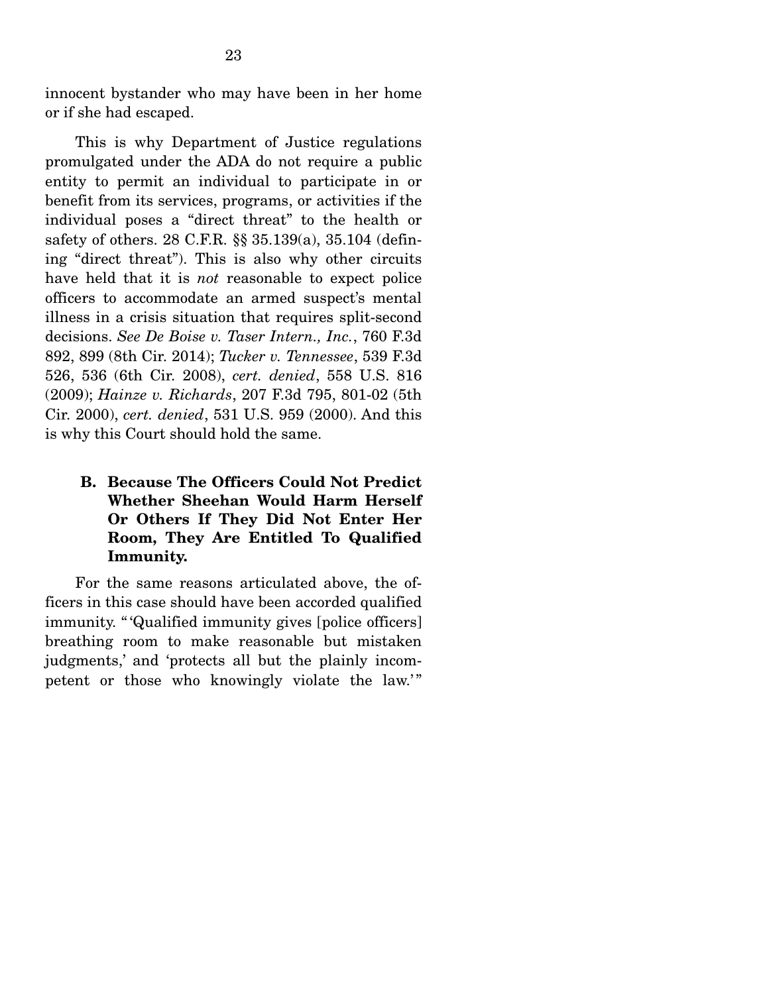innocent bystander who may have been in her home or if she had escaped.

 This is why Department of Justice regulations promulgated under the ADA do not require a public entity to permit an individual to participate in or benefit from its services, programs, or activities if the individual poses a "direct threat" to the health or safety of others. 28 C.F.R. §§ 35.139(a), 35.104 (defining "direct threat"). This is also why other circuits have held that it is *not* reasonable to expect police officers to accommodate an armed suspect's mental illness in a crisis situation that requires split-second decisions. *See De Boise v. Taser Intern., Inc.*, 760 F.3d 892, 899 (8th Cir. 2014); *Tucker v. Tennessee*, 539 F.3d 526, 536 (6th Cir. 2008), *cert. denied*, 558 U.S. 816 (2009); *Hainze v. Richards*, 207 F.3d 795, 801-02 (5th Cir. 2000), *cert. denied*, 531 U.S. 959 (2000). And this is why this Court should hold the same.

## **B. Because The Officers Could Not Predict Whether Sheehan Would Harm Herself Or Others If They Did Not Enter Her Room, They Are Entitled To Qualified Immunity.**

 For the same reasons articulated above, the officers in this case should have been accorded qualified immunity. " 'Qualified immunity gives [police officers] breathing room to make reasonable but mistaken judgments,' and 'protects all but the plainly incompetent or those who knowingly violate the law."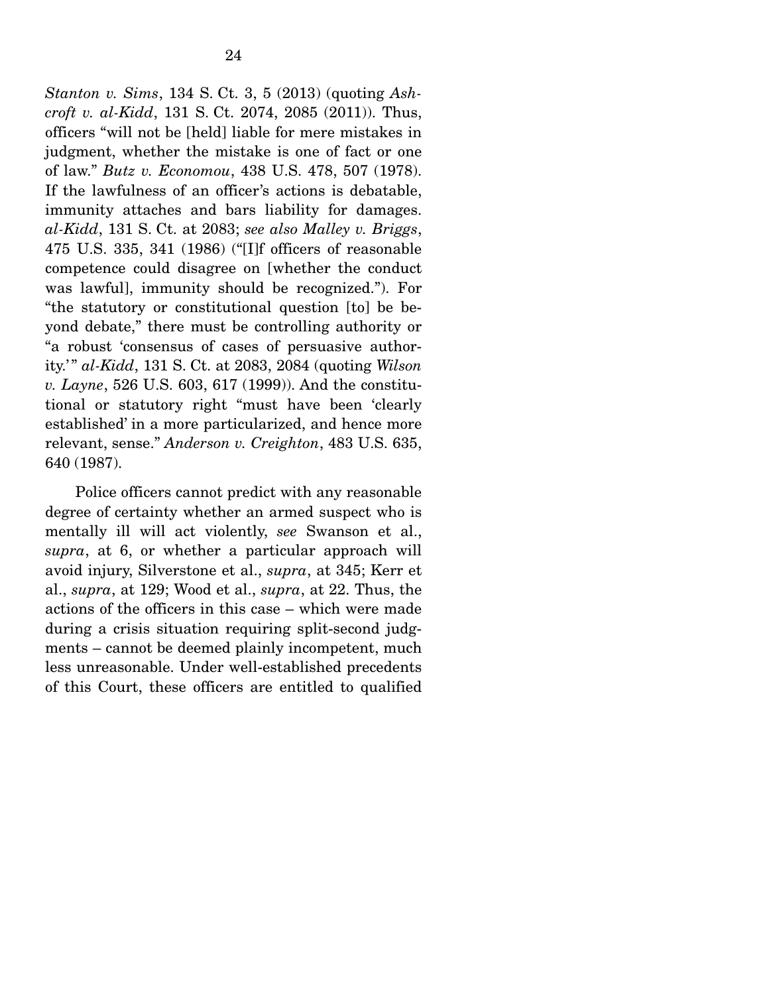*Stanton v. Sims*, 134 S. Ct. 3, 5 (2013) (quoting *Ashcroft v. al-Kidd*, 131 S. Ct. 2074, 2085 (2011)). Thus, officers "will not be [held] liable for mere mistakes in judgment, whether the mistake is one of fact or one of law." *Butz v. Economou*, 438 U.S. 478, 507 (1978). If the lawfulness of an officer's actions is debatable, immunity attaches and bars liability for damages. *al-Kidd*, 131 S. Ct. at 2083; *see also Malley v. Briggs*, 475 U.S. 335, 341 (1986) ("[I]f officers of reasonable competence could disagree on [whether the conduct was lawful], immunity should be recognized."). For "the statutory or constitutional question [to] be beyond debate," there must be controlling authority or "a robust 'consensus of cases of persuasive authority.' " *al-Kidd*, 131 S. Ct. at 2083, 2084 (quoting *Wilson v. Layne*, 526 U.S. 603, 617 (1999)). And the constitutional or statutory right "must have been 'clearly established' in a more particularized, and hence more relevant, sense." *Anderson v. Creighton*, 483 U.S. 635, 640 (1987).

 Police officers cannot predict with any reasonable degree of certainty whether an armed suspect who is mentally ill will act violently, *see* Swanson et al., *supra*, at 6, or whether a particular approach will avoid injury, Silverstone et al., *supra*, at 345; Kerr et al., *supra*, at 129; Wood et al., *supra*, at 22. Thus, the actions of the officers in this case – which were made during a crisis situation requiring split-second judgments – cannot be deemed plainly incompetent, much less unreasonable. Under well-established precedents of this Court, these officers are entitled to qualified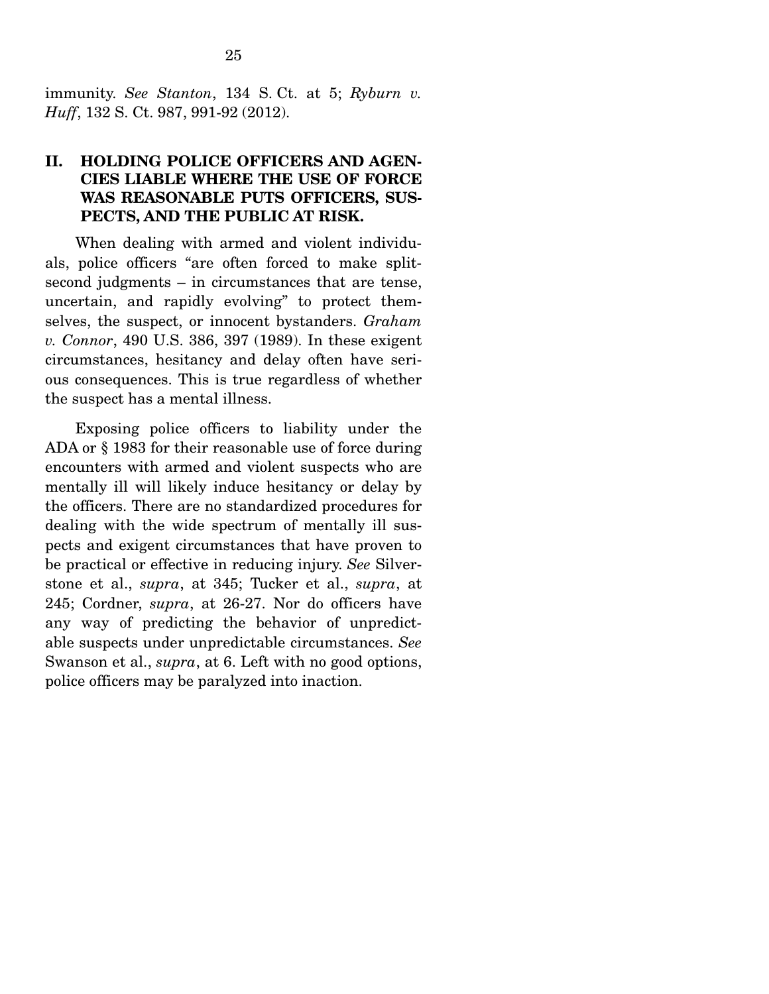immunity. *See Stanton*, 134 S. Ct. at 5; *Ryburn v. Huff*, 132 S. Ct. 987, 991-92 (2012).

## **II. HOLDING POLICE OFFICERS AND AGEN-CIES LIABLE WHERE THE USE OF FORCE WAS REASONABLE PUTS OFFICERS, SUS-PECTS, AND THE PUBLIC AT RISK.**

When dealing with armed and violent individuals, police officers "are often forced to make splitsecond judgments – in circumstances that are tense, uncertain, and rapidly evolving" to protect themselves, the suspect, or innocent bystanders. *Graham v. Connor*, 490 U.S. 386, 397 (1989). In these exigent circumstances, hesitancy and delay often have serious consequences. This is true regardless of whether the suspect has a mental illness.

 Exposing police officers to liability under the ADA or § 1983 for their reasonable use of force during encounters with armed and violent suspects who are mentally ill will likely induce hesitancy or delay by the officers. There are no standardized procedures for dealing with the wide spectrum of mentally ill suspects and exigent circumstances that have proven to be practical or effective in reducing injury. *See* Silverstone et al., *supra*, at 345; Tucker et al., *supra*, at 245; Cordner, *supra*, at 26-27. Nor do officers have any way of predicting the behavior of unpredictable suspects under unpredictable circumstances. *See*  Swanson et al., *supra*, at 6. Left with no good options, police officers may be paralyzed into inaction.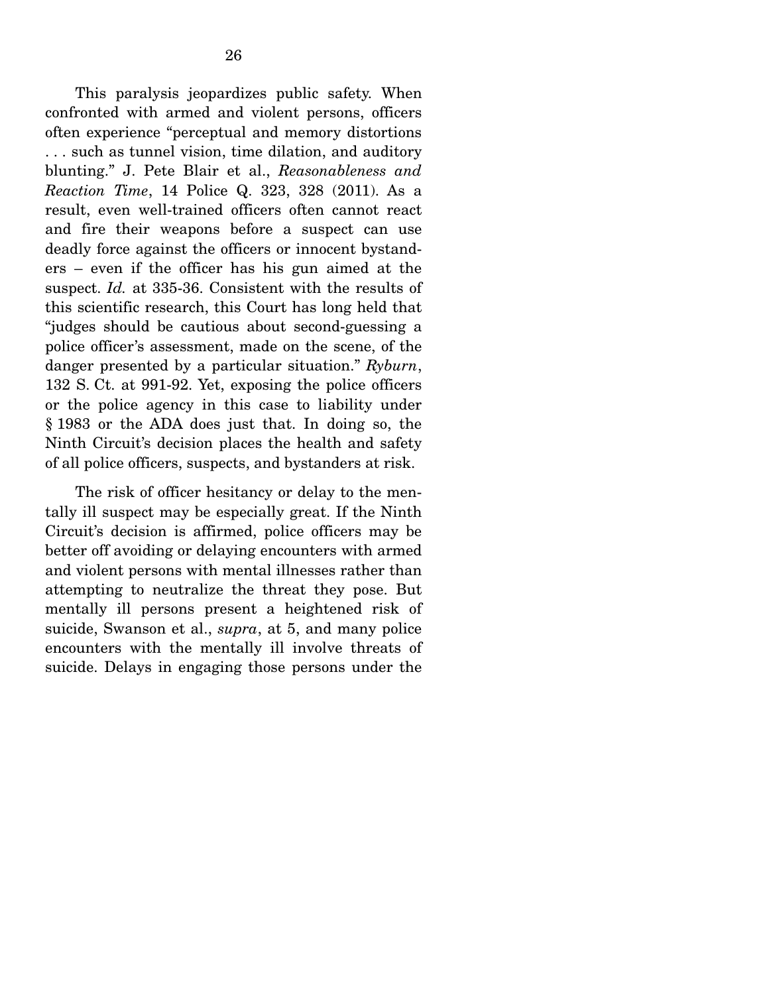This paralysis jeopardizes public safety. When confronted with armed and violent persons, officers often experience "perceptual and memory distortions . . . such as tunnel vision, time dilation, and auditory blunting." J. Pete Blair et al., *Reasonableness and Reaction Time*, 14 Police Q. 323, 328 (2011). As a result, even well-trained officers often cannot react and fire their weapons before a suspect can use deadly force against the officers or innocent bystanders – even if the officer has his gun aimed at the suspect. *Id.* at 335-36. Consistent with the results of this scientific research, this Court has long held that "judges should be cautious about second-guessing a police officer's assessment, made on the scene, of the danger presented by a particular situation." *Ryburn*, 132 S. Ct. at 991-92. Yet, exposing the police officers or the police agency in this case to liability under § 1983 or the ADA does just that. In doing so, the Ninth Circuit's decision places the health and safety of all police officers, suspects, and bystanders at risk.

 The risk of officer hesitancy or delay to the mentally ill suspect may be especially great. If the Ninth Circuit's decision is affirmed, police officers may be better off avoiding or delaying encounters with armed and violent persons with mental illnesses rather than attempting to neutralize the threat they pose. But mentally ill persons present a heightened risk of suicide, Swanson et al., *supra*, at 5, and many police encounters with the mentally ill involve threats of suicide. Delays in engaging those persons under the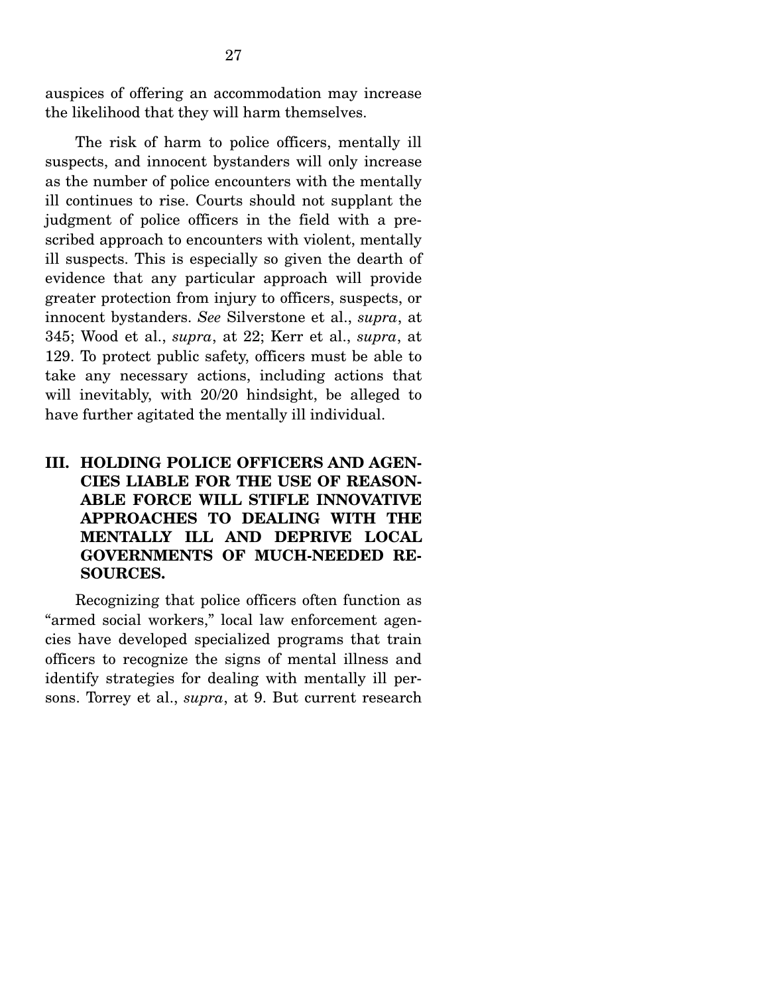auspices of offering an accommodation may increase the likelihood that they will harm themselves.

 The risk of harm to police officers, mentally ill suspects, and innocent bystanders will only increase as the number of police encounters with the mentally ill continues to rise. Courts should not supplant the judgment of police officers in the field with a prescribed approach to encounters with violent, mentally ill suspects. This is especially so given the dearth of evidence that any particular approach will provide greater protection from injury to officers, suspects, or innocent bystanders. *See* Silverstone et al., *supra*, at 345; Wood et al., *supra*, at 22; Kerr et al., *supra*, at 129. To protect public safety, officers must be able to take any necessary actions, including actions that will inevitably, with 20/20 hindsight, be alleged to have further agitated the mentally ill individual.

## **III. HOLDING POLICE OFFICERS AND AGEN-CIES LIABLE FOR THE USE OF REASON-ABLE FORCE WILL STIFLE INNOVATIVE APPROACHES TO DEALING WITH THE MENTALLY ILL AND DEPRIVE LOCAL GOVERNMENTS OF MUCH-NEEDED RE-SOURCES.**

Recognizing that police officers often function as "armed social workers," local law enforcement agencies have developed specialized programs that train officers to recognize the signs of mental illness and identify strategies for dealing with mentally ill persons. Torrey et al., *supra*, at 9. But current research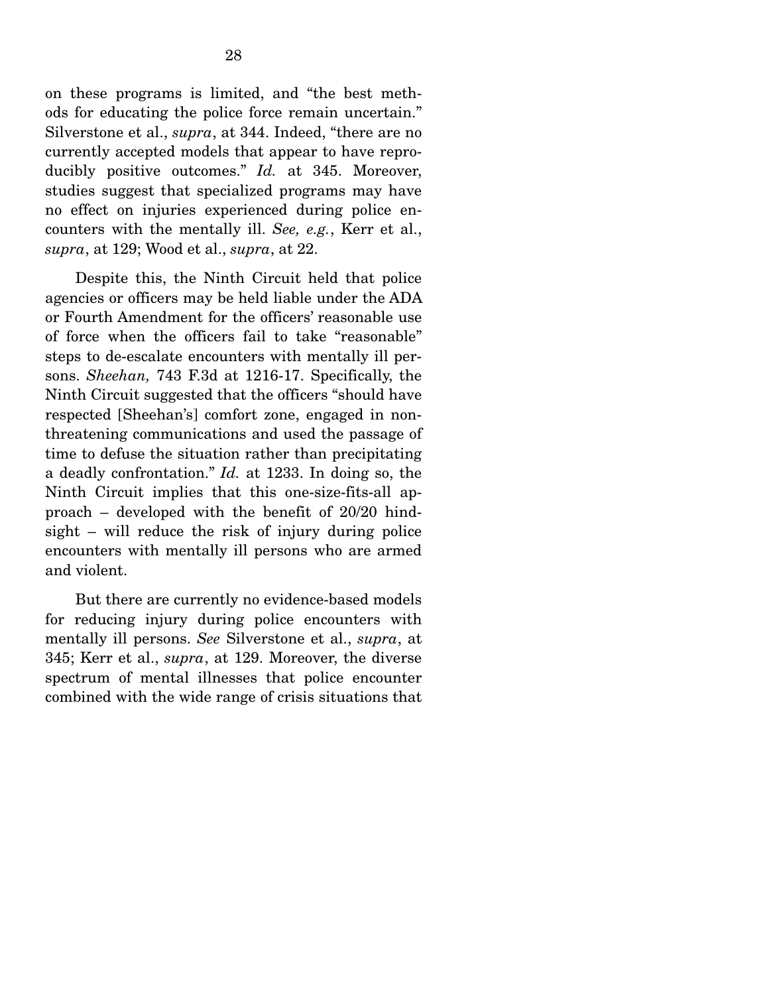on these programs is limited, and "the best methods for educating the police force remain uncertain." Silverstone et al., *supra*, at 344. Indeed, "there are no currently accepted models that appear to have reproducibly positive outcomes." *Id.* at 345. Moreover, studies suggest that specialized programs may have no effect on injuries experienced during police encounters with the mentally ill. *See, e.g.*, Kerr et al., *supra*, at 129; Wood et al., *supra*, at 22.

 Despite this, the Ninth Circuit held that police agencies or officers may be held liable under the ADA or Fourth Amendment for the officers' reasonable use of force when the officers fail to take "reasonable" steps to de-escalate encounters with mentally ill persons. *Sheehan,* 743 F.3d at 1216-17. Specifically, the Ninth Circuit suggested that the officers "should have respected [Sheehan's] comfort zone, engaged in nonthreatening communications and used the passage of time to defuse the situation rather than precipitating a deadly confrontation." *Id.* at 1233. In doing so, the Ninth Circuit implies that this one-size-fits-all approach – developed with the benefit of 20/20 hindsight – will reduce the risk of injury during police encounters with mentally ill persons who are armed and violent.

 But there are currently no evidence-based models for reducing injury during police encounters with mentally ill persons. *See* Silverstone et al., *supra*, at 345; Kerr et al., *supra*, at 129. Moreover, the diverse spectrum of mental illnesses that police encounter combined with the wide range of crisis situations that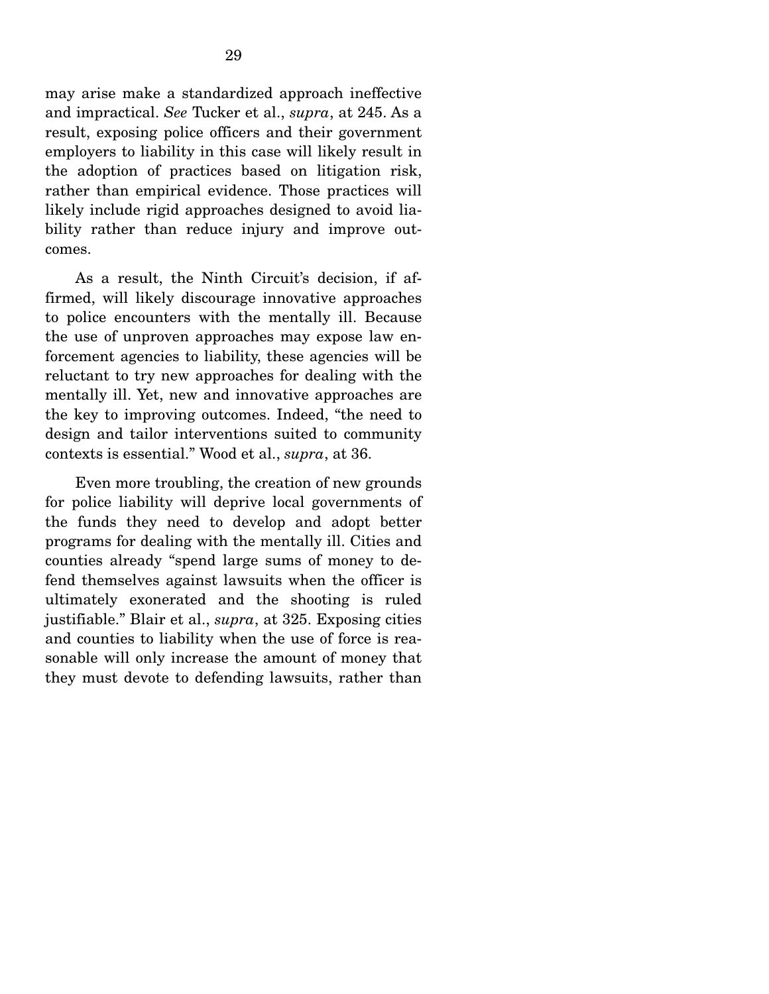may arise make a standardized approach ineffective and impractical. *See* Tucker et al., *supra*, at 245. As a result, exposing police officers and their government employers to liability in this case will likely result in the adoption of practices based on litigation risk, rather than empirical evidence. Those practices will likely include rigid approaches designed to avoid liability rather than reduce injury and improve outcomes.

 As a result, the Ninth Circuit's decision, if affirmed, will likely discourage innovative approaches to police encounters with the mentally ill. Because the use of unproven approaches may expose law enforcement agencies to liability, these agencies will be reluctant to try new approaches for dealing with the mentally ill. Yet, new and innovative approaches are the key to improving outcomes. Indeed, "the need to design and tailor interventions suited to community contexts is essential." Wood et al., *supra*, at 36.

 Even more troubling, the creation of new grounds for police liability will deprive local governments of the funds they need to develop and adopt better programs for dealing with the mentally ill. Cities and counties already "spend large sums of money to defend themselves against lawsuits when the officer is ultimately exonerated and the shooting is ruled justifiable." Blair et al., *supra*, at 325. Exposing cities and counties to liability when the use of force is reasonable will only increase the amount of money that they must devote to defending lawsuits, rather than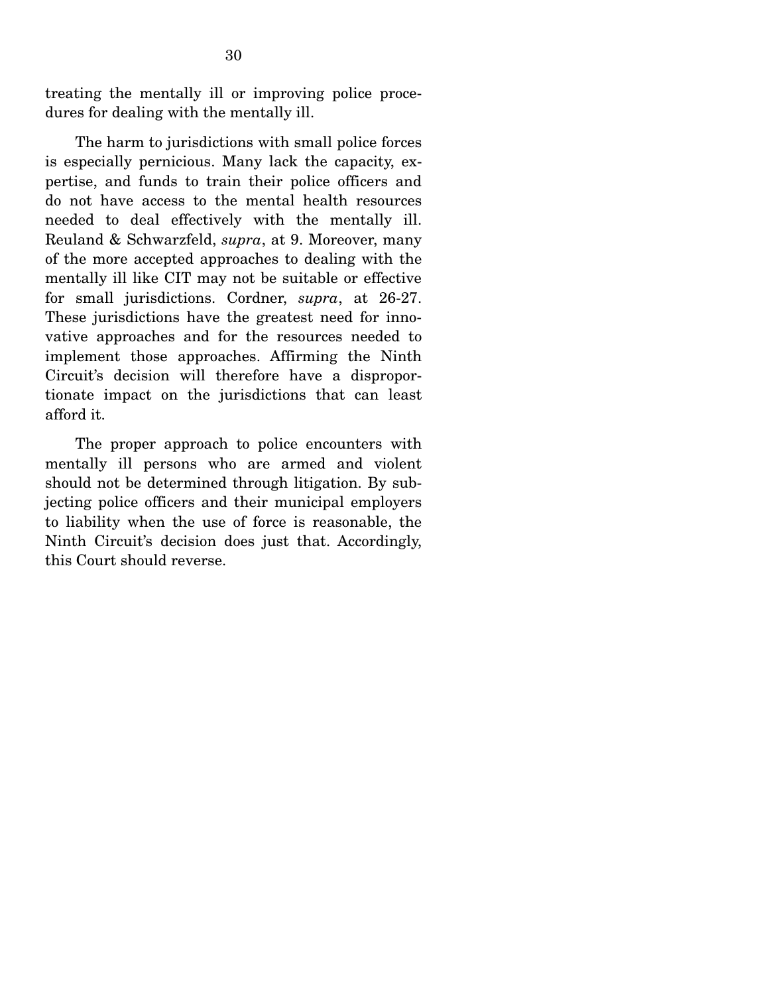treating the mentally ill or improving police procedures for dealing with the mentally ill.

 The harm to jurisdictions with small police forces is especially pernicious. Many lack the capacity, expertise, and funds to train their police officers and do not have access to the mental health resources needed to deal effectively with the mentally ill. Reuland & Schwarzfeld, *supra*, at 9. Moreover, many of the more accepted approaches to dealing with the mentally ill like CIT may not be suitable or effective for small jurisdictions. Cordner, *supra*, at 26-27. These jurisdictions have the greatest need for innovative approaches and for the resources needed to implement those approaches. Affirming the Ninth Circuit's decision will therefore have a disproportionate impact on the jurisdictions that can least afford it.

 The proper approach to police encounters with mentally ill persons who are armed and violent should not be determined through litigation. By subjecting police officers and their municipal employers to liability when the use of force is reasonable, the Ninth Circuit's decision does just that. Accordingly, this Court should reverse.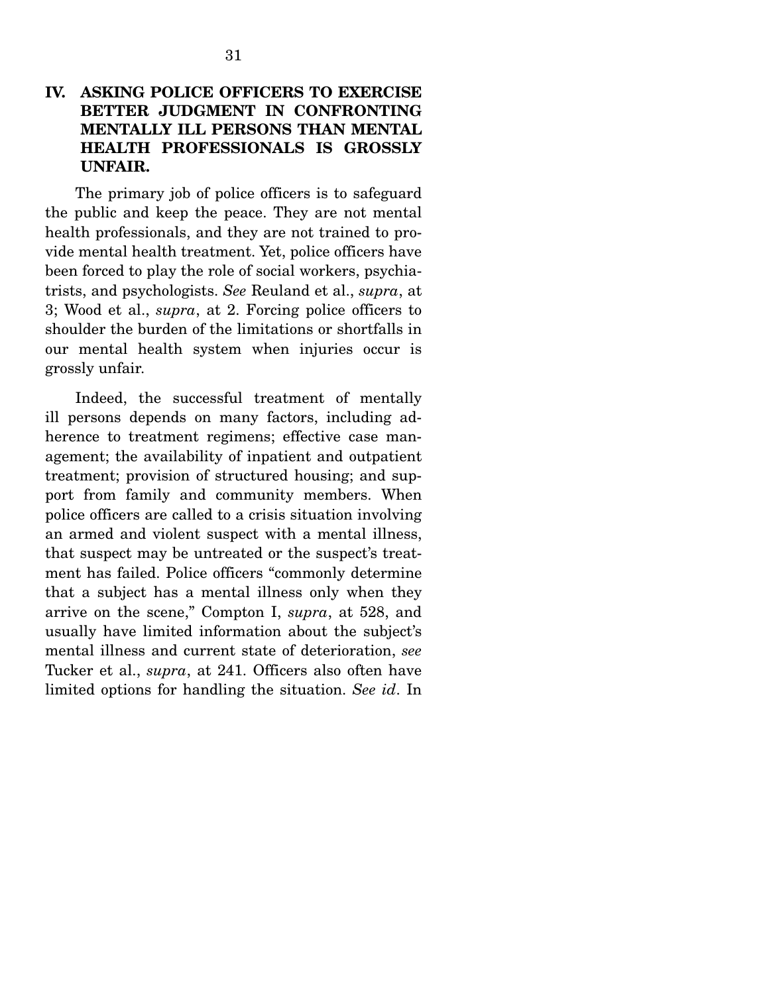## **IV. ASKING POLICE OFFICERS TO EXERCISE BETTER JUDGMENT IN CONFRONTING MENTALLY ILL PERSONS THAN MENTAL HEALTH PROFESSIONALS IS GROSSLY UNFAIR.**

The primary job of police officers is to safeguard the public and keep the peace. They are not mental health professionals, and they are not trained to provide mental health treatment. Yet, police officers have been forced to play the role of social workers, psychiatrists, and psychologists. *See* Reuland et al., *supra*, at 3; Wood et al., *supra*, at 2. Forcing police officers to shoulder the burden of the limitations or shortfalls in our mental health system when injuries occur is grossly unfair.

 Indeed, the successful treatment of mentally ill persons depends on many factors, including adherence to treatment regimens; effective case management; the availability of inpatient and outpatient treatment; provision of structured housing; and support from family and community members. When police officers are called to a crisis situation involving an armed and violent suspect with a mental illness, that suspect may be untreated or the suspect's treatment has failed. Police officers "commonly determine that a subject has a mental illness only when they arrive on the scene," Compton I, *supra*, at 528, and usually have limited information about the subject's mental illness and current state of deterioration, *see*  Tucker et al., *supra*, at 241. Officers also often have limited options for handling the situation. *See id*. In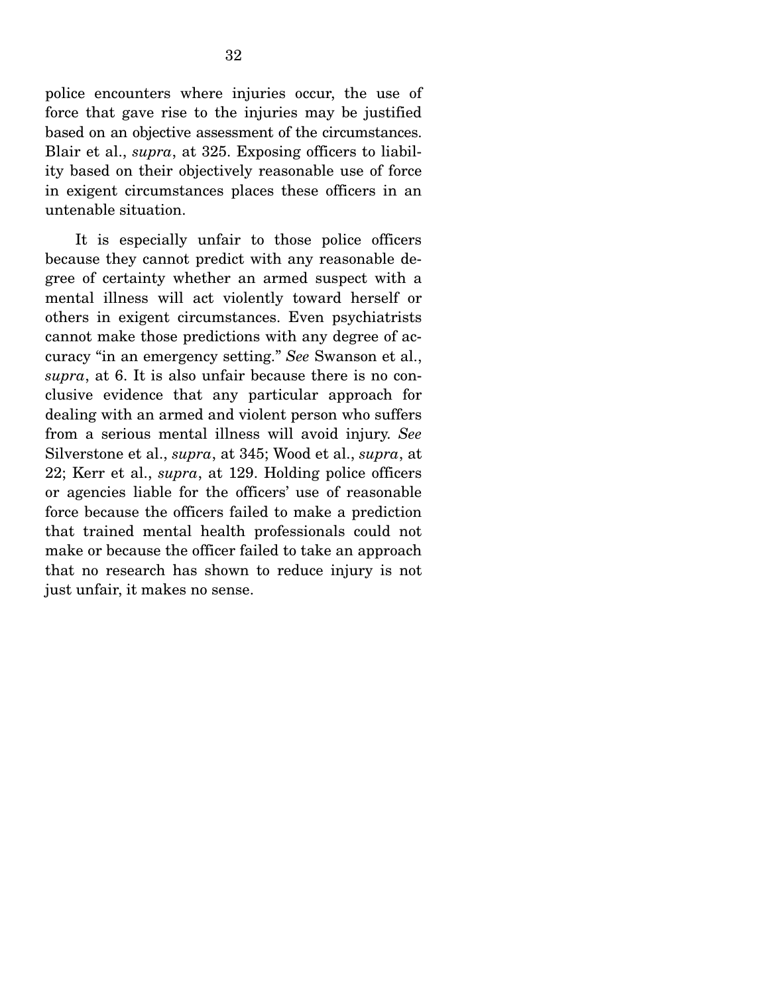police encounters where injuries occur, the use of force that gave rise to the injuries may be justified based on an objective assessment of the circumstances. Blair et al., *supra*, at 325. Exposing officers to liability based on their objectively reasonable use of force in exigent circumstances places these officers in an untenable situation.

 It is especially unfair to those police officers because they cannot predict with any reasonable degree of certainty whether an armed suspect with a mental illness will act violently toward herself or others in exigent circumstances. Even psychiatrists cannot make those predictions with any degree of accuracy "in an emergency setting." *See* Swanson et al., *supra*, at 6. It is also unfair because there is no conclusive evidence that any particular approach for dealing with an armed and violent person who suffers from a serious mental illness will avoid injury. *See*  Silverstone et al., *supra*, at 345; Wood et al., *supra*, at 22; Kerr et al., *supra*, at 129. Holding police officers or agencies liable for the officers' use of reasonable force because the officers failed to make a prediction that trained mental health professionals could not make or because the officer failed to take an approach that no research has shown to reduce injury is not just unfair, it makes no sense.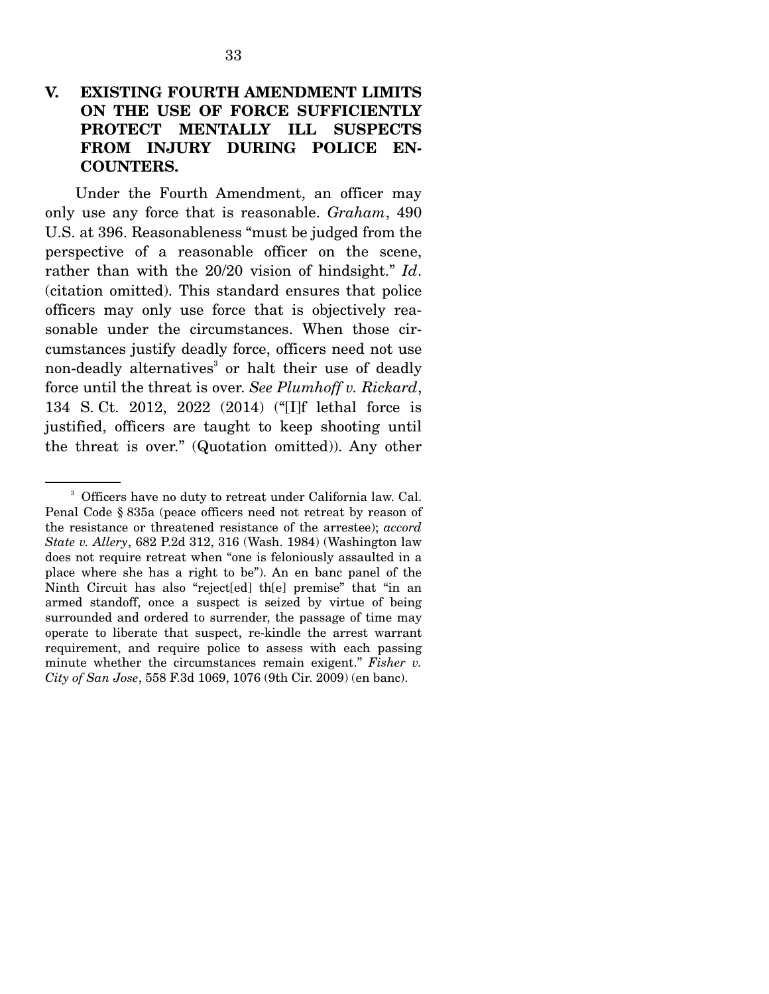## **V. EXISTING FOURTH AMENDMENT LIMITS ON THE USE OF FORCE SUFFICIENTLY PROTECT MENTALLY ILL SUSPECTS FROM INJURY DURING POLICE EN-COUNTERS.**

Under the Fourth Amendment, an officer may only use any force that is reasonable. *Graham*, 490 U.S. at 396. Reasonableness "must be judged from the perspective of a reasonable officer on the scene, rather than with the 20/20 vision of hindsight." *Id*. (citation omitted). This standard ensures that police officers may only use force that is objectively reasonable under the circumstances. When those circumstances justify deadly force, officers need not use non-deadly alternatives<sup>3</sup> or halt their use of deadly force until the threat is over. *See Plumhoff v. Rickard*, 134 S. Ct. 2012, 2022 (2014) ("[I]f lethal force is justified, officers are taught to keep shooting until the threat is over." (Quotation omitted)). Any other

<sup>3</sup> Officers have no duty to retreat under California law. Cal. Penal Code § 835a (peace officers need not retreat by reason of the resistance or threatened resistance of the arrestee); *accord State v. Allery*, 682 P.2d 312, 316 (Wash. 1984) (Washington law does not require retreat when "one is feloniously assaulted in a place where she has a right to be"). An en banc panel of the Ninth Circuit has also "reject[ed] th[e] premise" that "in an armed standoff, once a suspect is seized by virtue of being surrounded and ordered to surrender, the passage of time may operate to liberate that suspect, re-kindle the arrest warrant requirement, and require police to assess with each passing minute whether the circumstances remain exigent." *Fisher v. City of San Jose*, 558 F.3d 1069, 1076 (9th Cir. 2009) (en banc).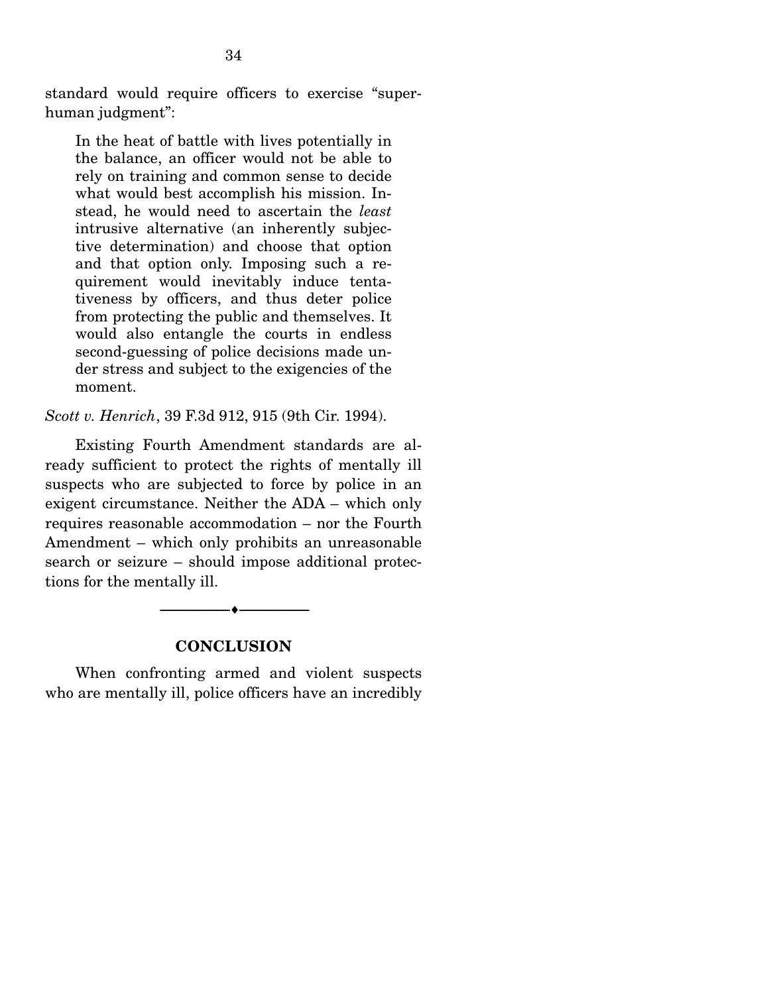standard would require officers to exercise "superhuman judgment":

In the heat of battle with lives potentially in the balance, an officer would not be able to rely on training and common sense to decide what would best accomplish his mission. Instead, he would need to ascertain the *least* intrusive alternative (an inherently subjective determination) and choose that option and that option only. Imposing such a requirement would inevitably induce tentativeness by officers, and thus deter police from protecting the public and themselves. It would also entangle the courts in endless second-guessing of police decisions made under stress and subject to the exigencies of the moment.

*Scott v. Henrich*, 39 F.3d 912, 915 (9th Cir. 1994).

 Existing Fourth Amendment standards are already sufficient to protect the rights of mentally ill suspects who are subjected to force by police in an exigent circumstance. Neither the ADA – which only requires reasonable accommodation – nor the Fourth Amendment – which only prohibits an unreasonable search or seizure – should impose additional protections for the mentally ill.



#### **CONCLUSION**

 When confronting armed and violent suspects who are mentally ill, police officers have an incredibly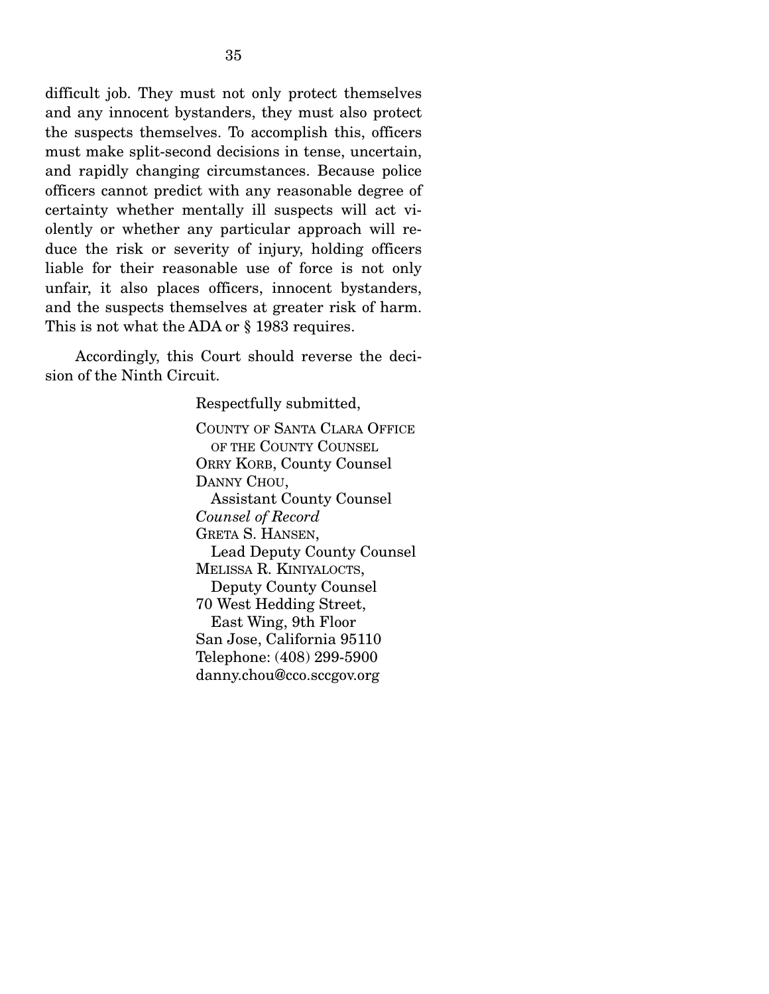difficult job. They must not only protect themselves and any innocent bystanders, they must also protect the suspects themselves. To accomplish this, officers must make split-second decisions in tense, uncertain, and rapidly changing circumstances. Because police officers cannot predict with any reasonable degree of certainty whether mentally ill suspects will act violently or whether any particular approach will reduce the risk or severity of injury, holding officers liable for their reasonable use of force is not only unfair, it also places officers, innocent bystanders, and the suspects themselves at greater risk of harm. This is not what the ADA or § 1983 requires.

Accordingly, this Court should reverse the decision of the Ninth Circuit.

Respectfully submitted,

COUNTY OF SANTA CLARA OFFICE OF THE COUNTY COUNSEL ORRY KORB, County Counsel DANNY CHOU, Assistant County Counsel *Counsel of Record* GRETA S. HANSEN, Lead Deputy County Counsel MELISSA R. KINIYALOCTS, Deputy County Counsel 70 West Hedding Street, East Wing, 9th Floor San Jose, California 95110 Telephone: (408) 299-5900 danny.chou@cco.sccgov.org